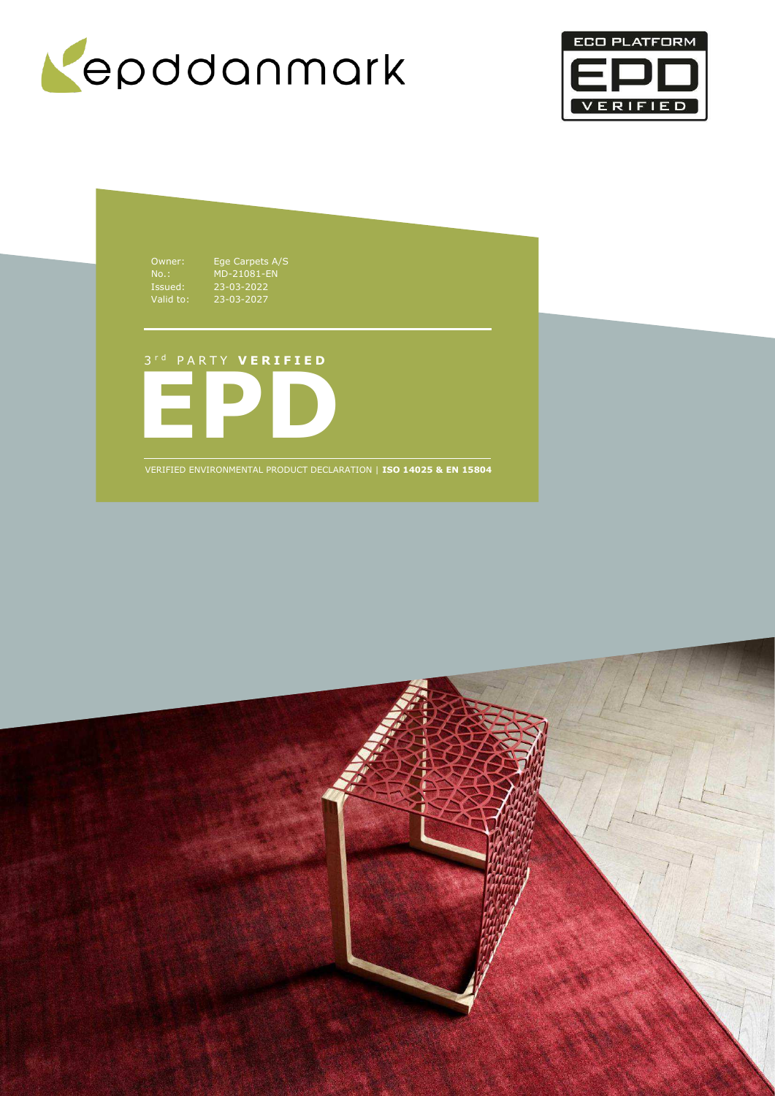



Owner: Ege Carpets A/S No.: MD-21081-EN Issued: 23-03-2022 Valid to: 23-03-2027

3 r d P A R T Y **V E R I F I E D**



VERIFIED ENVIRONMENTAL PRODUCT DECLARATION | **ISO 14025 & EN 15804**

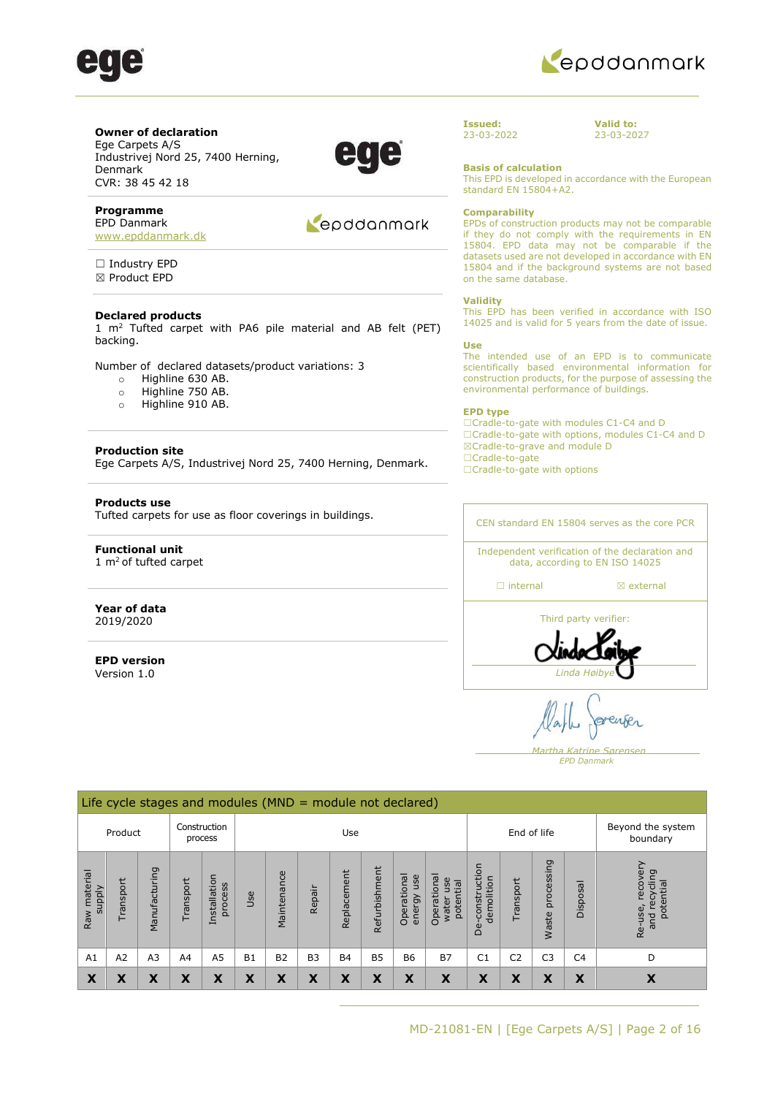



**Valid to:**  23-03-2027

### **Owner of declaration**

Ege Carpets A/S Industrivej Nord 25, 7400 Herning, Denmark CVR: 38 45 42 18

### **Programme**

EPD Danmark [www.epddanmark.dk](http://www.epddanmark.dk/)

□ Industry EPD ☒ Product EPD

### **Declared products**

1  $m<sup>2</sup>$  Tufted carpet with PA6 pile material and AB felt (PET) backing.

Number of declared datasets/product variations: 3

- o Highline 630 AB.
- o Highline 750 AB.
- o Highline 910 AB.

### **Production site**

Ege Carpets A/S, Industrivej Nord 25, 7400 Herning, Denmark.

### **Products use**

Tufted carpets for use as floor coverings in buildings.

### **Functional unit**   $1 \text{ m}^2$  of tufted carpet

#### **Year of data** 2019/2020

**EPD version**  Version 1.0

### Repodanmark

EPDs of construction products may not be comparable if they do not comply with the requirements in EN 15804. EPD data may not be comparable if the datasets used are not developed in accordance with EN 15804 and if the background systems are not based on the same database.

This EPD is developed in accordance with the European

#### **Validity**

**Issued:**  23-03-2022

**Basis of calculation**

**Comparability** 

standard EN 15804+A2.

This EPD has been verified in accordance with ISO 14025 and is valid for 5 years from the date of issue.

#### **Use**

The intended use of an EPD is to communicate scientifically based environmental information for construction products, for the purpose of assessing the environmental performance of buildings.

#### **EPD type**

☐Cradle-to-gate with modules C1-C4 and D ☐Cradle-to-gate with options, modules C1-C4 and D ☒Cradle-to-grave and module D ☐Cradle-to-gate ☐Cradle-to-gate with options

### CEN standard EN 15804 serves as the core PCR

Independent verification of the declaration and data, according to EN ISO 14025

☐ internal ☒ external



 *Martha Katrine Sørensen EPD Danmark*

|                        |           |                |           | Life cycle stages and modules ( $MND =$ module not declared) |           |                |                |             |               |                              |                                               |                                 |                |                     |                |                                                      |
|------------------------|-----------|----------------|-----------|--------------------------------------------------------------|-----------|----------------|----------------|-------------|---------------|------------------------------|-----------------------------------------------|---------------------------------|----------------|---------------------|----------------|------------------------------------------------------|
|                        | Product   |                |           | Construction<br>process                                      |           |                |                | Use         |               |                              |                                               |                                 |                | End of life         |                | Beyond the system<br>boundary                        |
| Raw material<br>supply | Transport | Manufacturing  | Transport | Installation<br>process                                      | Use       | Maintenance    | Repair         | Replacement | Refurbishment | Operational<br>use<br>energy | Operational<br>use<br>potential<br>ter<br>wat | construction<br>demolition<br>ف | Transport      | processing<br>Waste | Disposal       | recovery<br>recycling<br>potential<br>Re-use,<br>and |
| A1                     | A2        | A <sub>3</sub> | A4        | A <sub>5</sub>                                               | <b>B1</b> | B <sub>2</sub> | B <sub>3</sub> | <b>B4</b>   | <b>B5</b>     | <b>B6</b>                    | <b>B7</b>                                     | C <sub>1</sub>                  | C <sub>2</sub> | C <sub>3</sub>      | C <sub>4</sub> | D                                                    |
| X                      | X         | X              | X         | X                                                            | X         | X              | X              | X           | X             | X                            | X                                             | X                               | X              | X                   | X              | X                                                    |

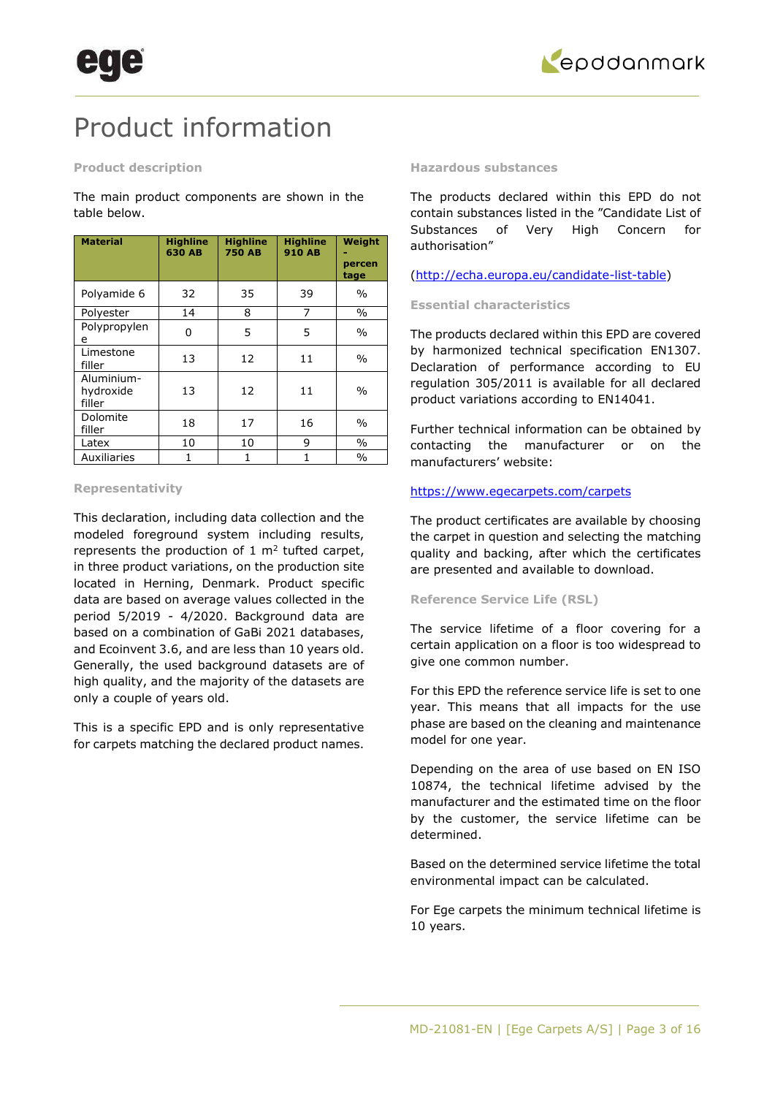

## Product information

### **Product description**

The main product components are shown in the table below.

| <b>Material</b>                   | <b>Highline</b><br><b>630 AB</b> | <b>Highline</b><br><b>750 AB</b> | <b>Highline</b><br><b>910 AB</b> | Weight<br>percen<br>tage |
|-----------------------------------|----------------------------------|----------------------------------|----------------------------------|--------------------------|
| Polyamide 6                       | 32                               | 35                               | 39                               | $\frac{0}{0}$            |
| Polyester                         | 14                               | 8                                | 7                                | $\%$                     |
| Polypropylen<br>e                 | 0                                | 5                                | 5                                | $\frac{0}{0}$            |
| Limestone<br>filler               | 13                               | 12                               | 11                               | $\frac{0}{0}$            |
| Aluminium-<br>hydroxide<br>filler | 13                               | 12                               | 11                               | $\frac{0}{0}$            |
| Dolomite<br>filler                | 18                               | 17                               | 16                               | $\frac{0}{0}$            |
| Latex                             | 10                               | 10                               | 9                                | $\%$                     |
| Auxiliaries                       | 1                                | 1                                | 1                                | $\frac{0}{0}$            |

### **Representativity**

This declaration, including data collection and the modeled foreground system including results, represents the production of  $1 \text{ m}^2$  tufted carpet, in three product variations, on the production site located in Herning, Denmark. Product specific data are based on average values collected in the period 5/2019 - 4/2020. Background data are based on a combination of GaBi 2021 databases, and Ecoinvent 3.6, and are less than 10 years old. Generally, the used background datasets are of high quality, and the majority of the datasets are only a couple of years old.

This is a specific EPD and is only representative for carpets matching the declared product names.

### **Hazardous substances**

The products declared within this EPD do not contain substances listed in the "Candidate List of Substances of Very High Concern for authorisation"

[\(http://echa.europa.eu/candidate-list-table\)](http://echa.europa.eu/candidate-list-table)

### **Essential characteristics**

The products declared within this EPD are covered by harmonized technical specification EN1307. Declaration of performance according to EU regulation 305/2011 is available for all declared product variations according to EN14041.

Further technical information can be obtained by contacting the manufacturer or on the manufacturers' website:

### <https://www.egecarpets.com/carpets>

The product certificates are available by choosing the carpet in question and selecting the matching quality and backing, after which the certificates are presented and available to download.

### **Reference Service Life (RSL)**

The service lifetime of a floor covering for a certain application on a floor is too widespread to give one common number.

For this EPD the reference service life is set to one year. This means that all impacts for the use phase are based on the cleaning and maintenance model for one year.

Depending on the area of use based on EN ISO 10874, the technical lifetime advised by the manufacturer and the estimated time on the floor by the customer, the service lifetime can be determined.

Based on the determined service lifetime the total environmental impact can be calculated.

For Ege carpets the minimum technical lifetime is 10 years.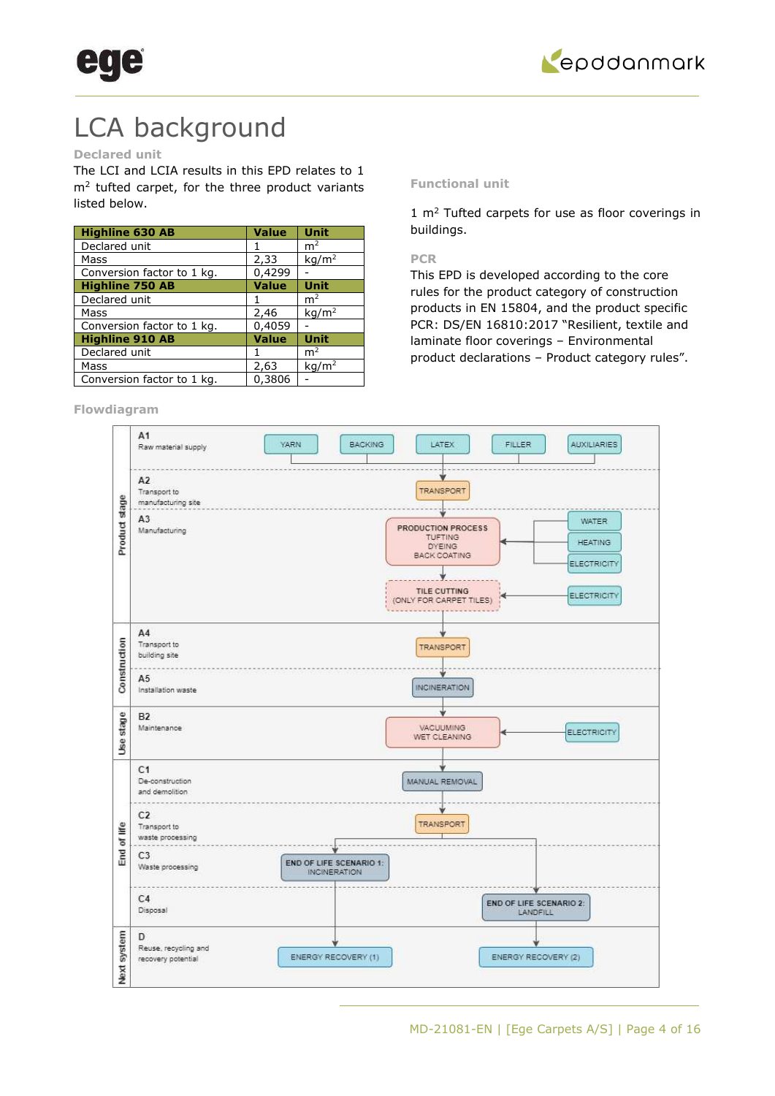



## LCA background

### **Declared unit**

The LCI and LCIA results in this EPD relates to 1  $m<sup>2</sup>$  tufted carpet, for the three product variants listed below.

| <b>Highline 630 AB</b>     | <b>Value</b> | <b>Unit</b>       |
|----------------------------|--------------|-------------------|
| Declared unit              |              | m <sup>2</sup>    |
| Mass                       | 2,33         | kg/m <sup>2</sup> |
| Conversion factor to 1 kg. | 0,4299       |                   |
| <b>Highline 750 AB</b>     | <b>Value</b> | <b>Unit</b>       |
| Declared unit              |              | m <sup>2</sup>    |
| Mass                       | 2,46         | kq/m <sup>2</sup> |
| Conversion factor to 1 kg. | 0,4059       |                   |
| <b>Highline 910 AB</b>     | <b>Value</b> | <b>Unit</b>       |
| Declared unit              |              | m <sup>2</sup>    |
| Mass                       | 2,63         | kg/m <sup>2</sup> |
| Conversion factor to 1 kg. | 0,3806       |                   |

### **Flowdiagram**

### **Functional unit**

 $1 \text{ m}^2$  Tufted carpets for use as floor coverings in buildings.

### **PCR**

This EPD is developed according to the core rules for the product category of construction products in EN 15804, and the product specific PCR: DS/EN 16810:2017 "Resilient, textile and laminate floor coverings – Environmental product declarations – Product category rules".

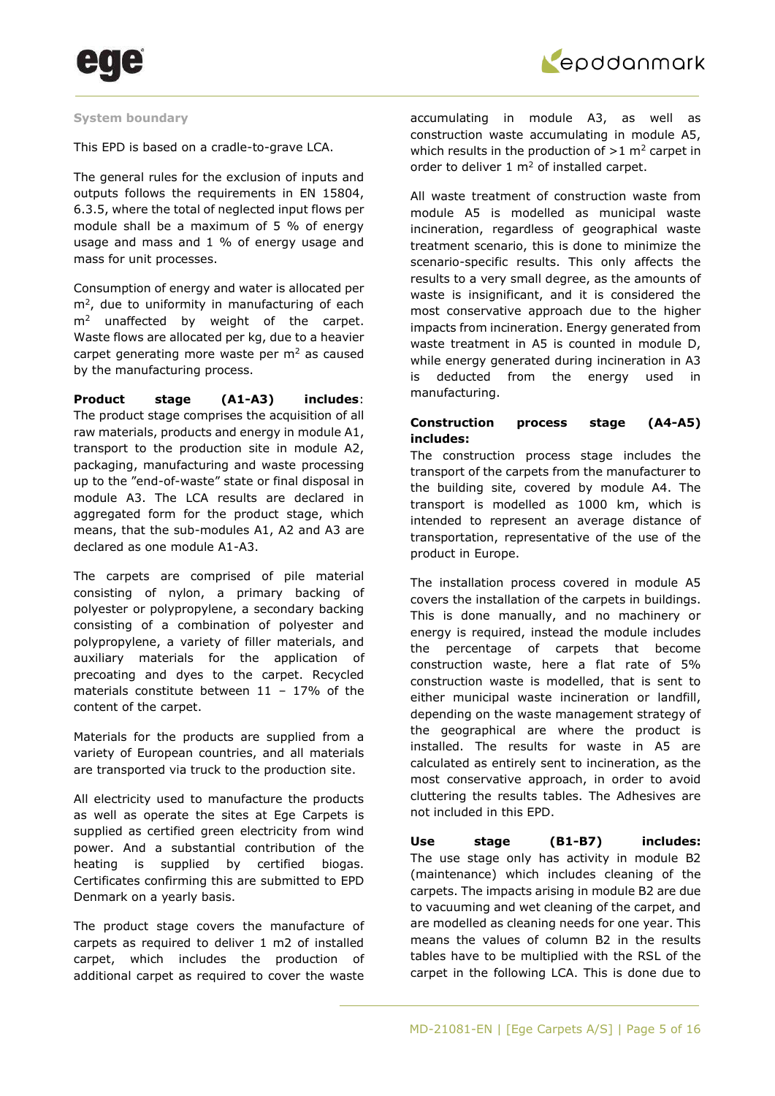



### **System boundary**

This EPD is based on a cradle-to-grave LCA.

The general rules for the exclusion of inputs and outputs follows the requirements in EN 15804, 6.3.5, where the total of neglected input flows per module shall be a maximum of 5 % of energy usage and mass and 1 % of energy usage and mass for unit processes.

Consumption of energy and water is allocated per  $m<sup>2</sup>$ , due to uniformity in manufacturing of each  $m<sup>2</sup>$  unaffected by weight of the carpet. Waste flows are allocated per kg, due to a heavier carpet generating more waste per  $m<sup>2</sup>$  as caused by the manufacturing process.

**Product stage (A1-A3) includes**: The product stage comprises the acquisition of all raw materials, products and energy in module A1, transport to the production site in module A2, packaging, manufacturing and waste processing up to the "end-of-waste" state or final disposal in module A3. The LCA results are declared in aggregated form for the product stage, which means, that the sub-modules A1, A2 and A3 are declared as one module A1-A3.

The carpets are comprised of pile material consisting of nylon, a primary backing of polyester or polypropylene, a secondary backing consisting of a combination of polyester and polypropylene, a variety of filler materials, and auxiliary materials for the application of precoating and dyes to the carpet. Recycled materials constitute between  $11 - 17\%$  of the content of the carpet.

Materials for the products are supplied from a variety of European countries, and all materials are transported via truck to the production site.

All electricity used to manufacture the products as well as operate the sites at Ege Carpets is supplied as certified green electricity from wind power. And a substantial contribution of the heating is supplied by certified biogas. Certificates confirming this are submitted to EPD Denmark on a yearly basis.

The product stage covers the manufacture of carpets as required to deliver 1 m2 of installed carpet, which includes the production of additional carpet as required to cover the waste

accumulating in module A3, as well as construction waste accumulating in module A5, which results in the production of  $>1$  m<sup>2</sup> carpet in order to deliver  $1 \text{ m}^2$  of installed carpet.

All waste treatment of construction waste from module A5 is modelled as municipal waste incineration, regardless of geographical waste treatment scenario, this is done to minimize the scenario-specific results. This only affects the results to a very small degree, as the amounts of waste is insignificant, and it is considered the most conservative approach due to the higher impacts from incineration. Energy generated from waste treatment in A5 is counted in module D, while energy generated during incineration in A3 is deducted from the energy used in manufacturing.

### **Construction process stage (A4-A5) includes:**

The construction process stage includes the transport of the carpets from the manufacturer to the building site, covered by module A4. The transport is modelled as 1000 km, which is intended to represent an average distance of transportation, representative of the use of the product in Europe.

The installation process covered in module A5 covers the installation of the carpets in buildings. This is done manually, and no machinery or energy is required, instead the module includes the percentage of carpets that become construction waste, here a flat rate of 5% construction waste is modelled, that is sent to either municipal waste incineration or landfill, depending on the waste management strategy of the geographical are where the product is installed. The results for waste in A5 are calculated as entirely sent to incineration, as the most conservative approach, in order to avoid cluttering the results tables. The Adhesives are not included in this EPD.

**Use stage (B1-B7) includes:** The use stage only has activity in module B2 (maintenance) which includes cleaning of the carpets. The impacts arising in module B2 are due to vacuuming and wet cleaning of the carpet, and are modelled as cleaning needs for one year. This means the values of column B2 in the results tables have to be multiplied with the RSL of the carpet in the following LCA. This is done due to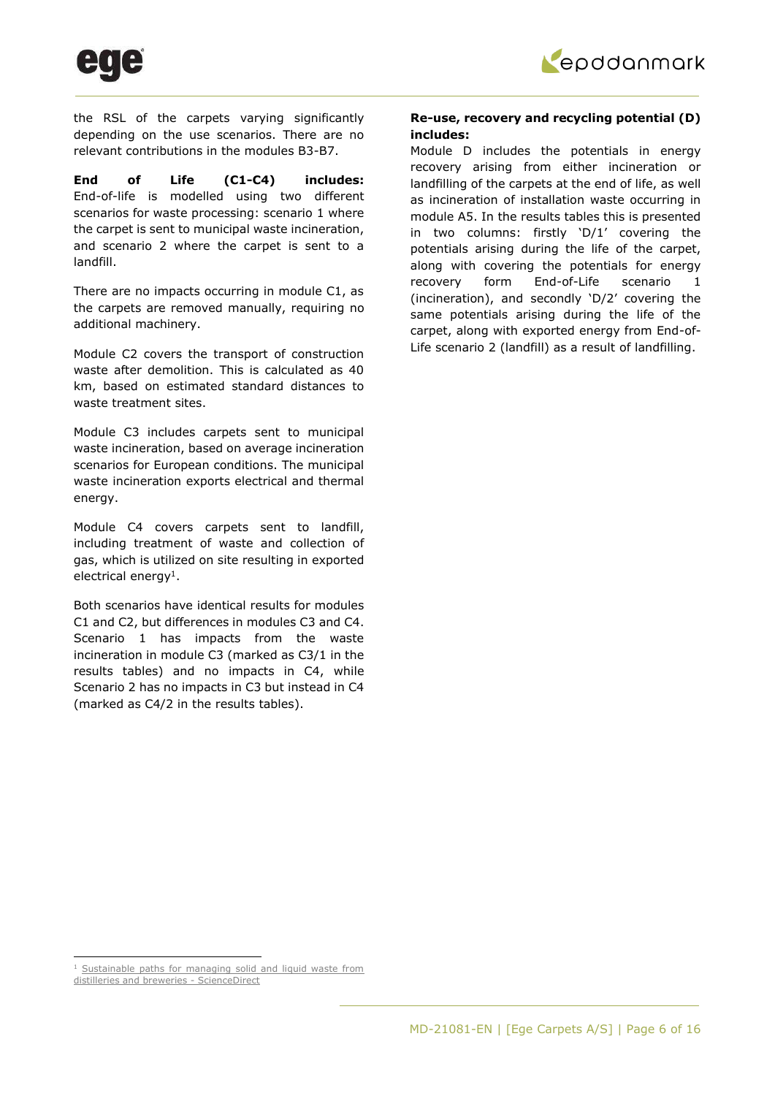

the RSL of the carpets varying significantly depending on the use scenarios. There are no relevant contributions in the modules B3-B7.

**End of Life (C1-C4) includes:**  End-of-life is modelled using two different scenarios for waste processing: scenario 1 where the carpet is sent to municipal waste incineration, and scenario 2 where the carpet is sent to a landfill.

There are no impacts occurring in module C1, as the carpets are removed manually, requiring no additional machinery.

Module C2 covers the transport of construction waste after demolition. This is calculated as 40 km, based on estimated standard distances to waste treatment sites.

Module C3 includes carpets sent to municipal waste incineration, based on average incineration scenarios for European conditions. The municipal waste incineration exports electrical and thermal energy.

Module C4 covers carpets sent to landfill, including treatment of waste and collection of gas, which is utilized on site resulting in exported electrical energy<sup>1</sup>.

Both scenarios have identical results for modules C1 and C2, but differences in modules C3 and C4. Scenario 1 has impacts from the waste incineration in module C3 (marked as C3/1 in the results tables) and no impacts in C4, while Scenario 2 has no impacts in C3 but instead in C4 (marked as C4/2 in the results tables).

### **Re-use, recovery and recycling potential (D) includes:**

Module D includes the potentials in energy recovery arising from either incineration or landfilling of the carpets at the end of life, as well as incineration of installation waste occurring in module A5. In the results tables this is presented in two columns: firstly 'D/1' covering the potentials arising during the life of the carpet, along with covering the potentials for energy recovery form End-of-Life scenario 1 (incineration), and secondly 'D/2' covering the same potentials arising during the life of the carpet, along with exported energy from End-of-Life scenario 2 (landfill) as a result of landfilling.

<sup>&</sup>lt;sup>1</sup> Sustainable paths for managing solid and liquid waste from

[distilleries and breweries - ScienceDirect](https://www.sciencedirect.com/science/article/pii/S0959652617302688#!)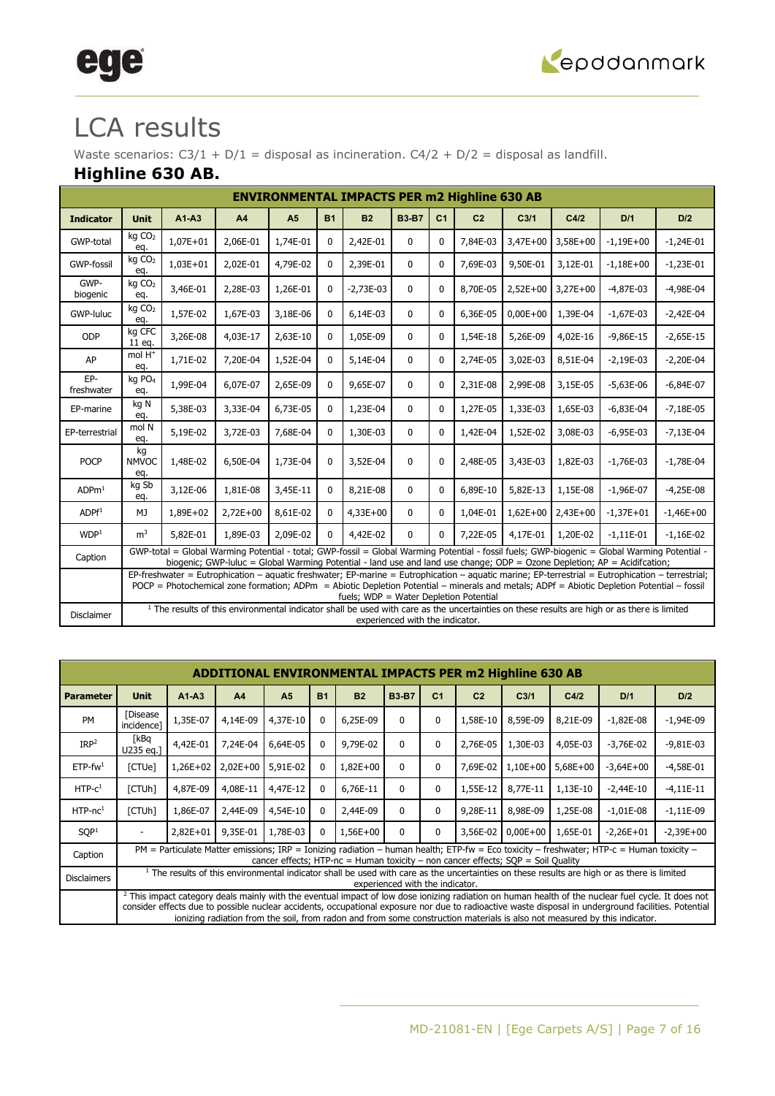

# ege

## LCA results

Waste scenarios:  $C3/1 + D/1 =$  disposal as incineration.  $C4/2 + D/2 =$  disposal as landfill.

### **Highline 630 AB.**

| <b>ENVIRONMENTAL IMPACTS PER m2 Highline 630 AB</b><br>$A1-A3$<br><b>B3-B7</b><br>C <sub>1</sub><br>C <sub>2</sub><br>D/1<br><b>Unit</b><br>A <sub>5</sub><br><b>B1</b><br><b>B2</b><br>C <sub>3/1</sub><br>C4/2<br>D/2<br><b>Indicator</b><br>A <sub>4</sub><br>kg CO <sub>2</sub><br>GWP-total<br>$1,07E+01$<br>2,06E-01<br>1,74E-01<br>2,42E-01<br>7,84E-03<br>$3,47E+00$<br>$3,58E+00$<br>$\mathbf{0}$<br>$\Omega$<br>$-1,19E+00$<br>$-1,24E-01$<br>0<br>eq.<br>kg CO <sub>2</sub><br>$1,03E+01$<br>2,02E-01<br>4,79E-02<br>2,39E-01<br>7,69E-03<br>9,50E-01<br>3,12E-01<br><b>GWP-fossil</b><br>$\mathbf{0}$<br>$\Omega$<br>$-1,18E+00$<br>$-1,23E-01$<br>0<br>eq.<br>GWP-<br>kg CO <sub>2</sub><br>3,46E-01<br>2,28E-03<br>1,26E-01<br>$2,52E+00$<br>3,27E+00<br>$-2,73E-03$<br>$\mathbf{0}$<br>8,70E-05<br>$-4,87E-03$<br>$-4,98E-04$<br>0<br>$\Omega$<br>biogenic<br>eq.<br>kg CO <sub>2</sub><br>1,57E-02<br>3,18E-06<br>6,14E-03<br>$0,00E+00$<br>1,39E-04<br>GWP-luluc<br>1,67E-03<br>0<br>$\mathbf{0}$<br>$\mathbf{0}$<br>6,36E-05<br>$-1,67E-03$<br>$-2,42E-04$<br>eq.<br>kg CFC<br>ODP<br>3,26E-08<br>4,03E-17<br>2,63E-10<br>1,05E-09<br>0<br>1,54E-18<br>5,26E-09<br>4,02E-16<br>$-9,86E-15$<br>$-2,65E-15$<br>0<br>$\mathbf{0}$<br>11 eg.<br>mol $H^+$<br>1,52E-04<br>8,51E-04<br>AP<br>1,71E-02<br>7,20E-04<br>5,14E-04<br>$\mathbf{0}$<br>2,74E-05<br>3,02E-03<br>$-2,19E-03$<br>$-2,20E-04$<br>0<br>$\mathbf{0}$<br>eq.<br>EP-<br>kg PO <sub>4</sub><br>1,99E-04<br>2,65E-09<br>6,07E-07<br>9,65E-07<br>2,31E-08<br>2,99E-08<br>3,15E-05<br>$-5,63E-06$<br>$-6,84E-07$<br>0<br>$\mathbf{0}$<br>$\mathbf{0}$<br>freshwater<br>eq.<br>kg N<br>5,38E-03<br>3,33E-04<br>6,73E-05<br>1,23E-04<br>1,27E-05<br>1,65E-03<br>$-6,83E-04$<br>$\Omega$<br>1,33E-03<br>$-7,18E-05$<br>$\mathbf{0}$<br>$\mathbf{0}$<br>EP-marine<br>eq.<br>mol N<br>5,19E-02<br>3,72E-03<br>7,68E-04<br>1,30E-03<br>1,42E-04<br>1,52E-02<br>3,08E-03<br>$-6,95E-03$<br>$\mathbf 0$<br>$\mathbf{0}$<br>$-7,13E-04$<br>EP-terrestrial<br>0<br>eq.<br>kg<br><b>POCP</b><br>1,48E-02<br>6,50E-04<br>1,73E-04<br>3,52E-04<br><b>NMVOC</b><br>$\mathbf{0}$<br>$\mathbf{0}$<br>$\Omega$<br>2,48E-05<br>3,43E-03<br>1,82E-03<br>$-1,76E-03$<br>$-1,78E-04$<br>eq.<br>kg Sb<br>3,12E-06<br>3,45E-11<br>ADPm <sup>1</sup><br>1,81E-08<br>8,21E-08<br>6,89E-10<br>5,82E-13<br>1,15E-08<br>$-1,96E-07$<br>$-4,25E-08$<br>0<br>$\mathbf{0}$<br>$\mathbf{0}$<br>eq.<br>$2,72E+00$<br>8,61E-02<br>$4,33E+00$<br>1,04E-01<br>$1,62E+00$<br>$2,43E+00$<br>$-1,37E+01$<br>ADPF <sup>1</sup><br>1,89E+02<br>0<br>$\mathbf{0}$<br>$-1,46E+00$<br>MJ<br>0<br>m <sup>3</sup><br>WDP <sup>1</sup><br>5,82E-01<br>1,89E-03<br>2,09E-02<br>4,42E-02<br>1,20E-02<br>0<br>0<br>$\mathbf{0}$<br>7,22E-05<br>4,17E-01<br>$-1,11E-01$<br>$-1,16E-02$ |                                                                                                                                                                                                                                                                                                                                                                                                                                                                                                                                                                                                                                                                                                                                                                                                                                                                                                                                                                                                                                                                                                                                                                               |  |  |  |  |  |                                 |  |  |  |  |  |  |
|---------------------------------------------------------------------------------------------------------------------------------------------------------------------------------------------------------------------------------------------------------------------------------------------------------------------------------------------------------------------------------------------------------------------------------------------------------------------------------------------------------------------------------------------------------------------------------------------------------------------------------------------------------------------------------------------------------------------------------------------------------------------------------------------------------------------------------------------------------------------------------------------------------------------------------------------------------------------------------------------------------------------------------------------------------------------------------------------------------------------------------------------------------------------------------------------------------------------------------------------------------------------------------------------------------------------------------------------------------------------------------------------------------------------------------------------------------------------------------------------------------------------------------------------------------------------------------------------------------------------------------------------------------------------------------------------------------------------------------------------------------------------------------------------------------------------------------------------------------------------------------------------------------------------------------------------------------------------------------------------------------------------------------------------------------------------------------------------------------------------------------------------------------------------------------------------------------------------------------------------------------------------------------------------------------------------------------------------------------------------------------------------------------------------------------------------------------------------------------------------------------------------------------------------------------------------------------------------------------------------------------------------------------------------------------------------------------------------------------------------------------------------------------------------------------------|-------------------------------------------------------------------------------------------------------------------------------------------------------------------------------------------------------------------------------------------------------------------------------------------------------------------------------------------------------------------------------------------------------------------------------------------------------------------------------------------------------------------------------------------------------------------------------------------------------------------------------------------------------------------------------------------------------------------------------------------------------------------------------------------------------------------------------------------------------------------------------------------------------------------------------------------------------------------------------------------------------------------------------------------------------------------------------------------------------------------------------------------------------------------------------|--|--|--|--|--|---------------------------------|--|--|--|--|--|--|
|                                                                                                                                                                                                                                                                                                                                                                                                                                                                                                                                                                                                                                                                                                                                                                                                                                                                                                                                                                                                                                                                                                                                                                                                                                                                                                                                                                                                                                                                                                                                                                                                                                                                                                                                                                                                                                                                                                                                                                                                                                                                                                                                                                                                                                                                                                                                                                                                                                                                                                                                                                                                                                                                                                                                                                                                               |                                                                                                                                                                                                                                                                                                                                                                                                                                                                                                                                                                                                                                                                                                                                                                                                                                                                                                                                                                                                                                                                                                                                                                               |  |  |  |  |  |                                 |  |  |  |  |  |  |
|                                                                                                                                                                                                                                                                                                                                                                                                                                                                                                                                                                                                                                                                                                                                                                                                                                                                                                                                                                                                                                                                                                                                                                                                                                                                                                                                                                                                                                                                                                                                                                                                                                                                                                                                                                                                                                                                                                                                                                                                                                                                                                                                                                                                                                                                                                                                                                                                                                                                                                                                                                                                                                                                                                                                                                                                               |                                                                                                                                                                                                                                                                                                                                                                                                                                                                                                                                                                                                                                                                                                                                                                                                                                                                                                                                                                                                                                                                                                                                                                               |  |  |  |  |  |                                 |  |  |  |  |  |  |
|                                                                                                                                                                                                                                                                                                                                                                                                                                                                                                                                                                                                                                                                                                                                                                                                                                                                                                                                                                                                                                                                                                                                                                                                                                                                                                                                                                                                                                                                                                                                                                                                                                                                                                                                                                                                                                                                                                                                                                                                                                                                                                                                                                                                                                                                                                                                                                                                                                                                                                                                                                                                                                                                                                                                                                                                               |                                                                                                                                                                                                                                                                                                                                                                                                                                                                                                                                                                                                                                                                                                                                                                                                                                                                                                                                                                                                                                                                                                                                                                               |  |  |  |  |  |                                 |  |  |  |  |  |  |
|                                                                                                                                                                                                                                                                                                                                                                                                                                                                                                                                                                                                                                                                                                                                                                                                                                                                                                                                                                                                                                                                                                                                                                                                                                                                                                                                                                                                                                                                                                                                                                                                                                                                                                                                                                                                                                                                                                                                                                                                                                                                                                                                                                                                                                                                                                                                                                                                                                                                                                                                                                                                                                                                                                                                                                                                               |                                                                                                                                                                                                                                                                                                                                                                                                                                                                                                                                                                                                                                                                                                                                                                                                                                                                                                                                                                                                                                                                                                                                                                               |  |  |  |  |  |                                 |  |  |  |  |  |  |
|                                                                                                                                                                                                                                                                                                                                                                                                                                                                                                                                                                                                                                                                                                                                                                                                                                                                                                                                                                                                                                                                                                                                                                                                                                                                                                                                                                                                                                                                                                                                                                                                                                                                                                                                                                                                                                                                                                                                                                                                                                                                                                                                                                                                                                                                                                                                                                                                                                                                                                                                                                                                                                                                                                                                                                                                               |                                                                                                                                                                                                                                                                                                                                                                                                                                                                                                                                                                                                                                                                                                                                                                                                                                                                                                                                                                                                                                                                                                                                                                               |  |  |  |  |  |                                 |  |  |  |  |  |  |
|                                                                                                                                                                                                                                                                                                                                                                                                                                                                                                                                                                                                                                                                                                                                                                                                                                                                                                                                                                                                                                                                                                                                                                                                                                                                                                                                                                                                                                                                                                                                                                                                                                                                                                                                                                                                                                                                                                                                                                                                                                                                                                                                                                                                                                                                                                                                                                                                                                                                                                                                                                                                                                                                                                                                                                                                               |                                                                                                                                                                                                                                                                                                                                                                                                                                                                                                                                                                                                                                                                                                                                                                                                                                                                                                                                                                                                                                                                                                                                                                               |  |  |  |  |  |                                 |  |  |  |  |  |  |
|                                                                                                                                                                                                                                                                                                                                                                                                                                                                                                                                                                                                                                                                                                                                                                                                                                                                                                                                                                                                                                                                                                                                                                                                                                                                                                                                                                                                                                                                                                                                                                                                                                                                                                                                                                                                                                                                                                                                                                                                                                                                                                                                                                                                                                                                                                                                                                                                                                                                                                                                                                                                                                                                                                                                                                                                               |                                                                                                                                                                                                                                                                                                                                                                                                                                                                                                                                                                                                                                                                                                                                                                                                                                                                                                                                                                                                                                                                                                                                                                               |  |  |  |  |  |                                 |  |  |  |  |  |  |
|                                                                                                                                                                                                                                                                                                                                                                                                                                                                                                                                                                                                                                                                                                                                                                                                                                                                                                                                                                                                                                                                                                                                                                                                                                                                                                                                                                                                                                                                                                                                                                                                                                                                                                                                                                                                                                                                                                                                                                                                                                                                                                                                                                                                                                                                                                                                                                                                                                                                                                                                                                                                                                                                                                                                                                                                               |                                                                                                                                                                                                                                                                                                                                                                                                                                                                                                                                                                                                                                                                                                                                                                                                                                                                                                                                                                                                                                                                                                                                                                               |  |  |  |  |  |                                 |  |  |  |  |  |  |
|                                                                                                                                                                                                                                                                                                                                                                                                                                                                                                                                                                                                                                                                                                                                                                                                                                                                                                                                                                                                                                                                                                                                                                                                                                                                                                                                                                                                                                                                                                                                                                                                                                                                                                                                                                                                                                                                                                                                                                                                                                                                                                                                                                                                                                                                                                                                                                                                                                                                                                                                                                                                                                                                                                                                                                                                               |                                                                                                                                                                                                                                                                                                                                                                                                                                                                                                                                                                                                                                                                                                                                                                                                                                                                                                                                                                                                                                                                                                                                                                               |  |  |  |  |  |                                 |  |  |  |  |  |  |
|                                                                                                                                                                                                                                                                                                                                                                                                                                                                                                                                                                                                                                                                                                                                                                                                                                                                                                                                                                                                                                                                                                                                                                                                                                                                                                                                                                                                                                                                                                                                                                                                                                                                                                                                                                                                                                                                                                                                                                                                                                                                                                                                                                                                                                                                                                                                                                                                                                                                                                                                                                                                                                                                                                                                                                                                               |                                                                                                                                                                                                                                                                                                                                                                                                                                                                                                                                                                                                                                                                                                                                                                                                                                                                                                                                                                                                                                                                                                                                                                               |  |  |  |  |  |                                 |  |  |  |  |  |  |
|                                                                                                                                                                                                                                                                                                                                                                                                                                                                                                                                                                                                                                                                                                                                                                                                                                                                                                                                                                                                                                                                                                                                                                                                                                                                                                                                                                                                                                                                                                                                                                                                                                                                                                                                                                                                                                                                                                                                                                                                                                                                                                                                                                                                                                                                                                                                                                                                                                                                                                                                                                                                                                                                                                                                                                                                               |                                                                                                                                                                                                                                                                                                                                                                                                                                                                                                                                                                                                                                                                                                                                                                                                                                                                                                                                                                                                                                                                                                                                                                               |  |  |  |  |  |                                 |  |  |  |  |  |  |
|                                                                                                                                                                                                                                                                                                                                                                                                                                                                                                                                                                                                                                                                                                                                                                                                                                                                                                                                                                                                                                                                                                                                                                                                                                                                                                                                                                                                                                                                                                                                                                                                                                                                                                                                                                                                                                                                                                                                                                                                                                                                                                                                                                                                                                                                                                                                                                                                                                                                                                                                                                                                                                                                                                                                                                                                               |                                                                                                                                                                                                                                                                                                                                                                                                                                                                                                                                                                                                                                                                                                                                                                                                                                                                                                                                                                                                                                                                                                                                                                               |  |  |  |  |  |                                 |  |  |  |  |  |  |
|                                                                                                                                                                                                                                                                                                                                                                                                                                                                                                                                                                                                                                                                                                                                                                                                                                                                                                                                                                                                                                                                                                                                                                                                                                                                                                                                                                                                                                                                                                                                                                                                                                                                                                                                                                                                                                                                                                                                                                                                                                                                                                                                                                                                                                                                                                                                                                                                                                                                                                                                                                                                                                                                                                                                                                                                               |                                                                                                                                                                                                                                                                                                                                                                                                                                                                                                                                                                                                                                                                                                                                                                                                                                                                                                                                                                                                                                                                                                                                                                               |  |  |  |  |  |                                 |  |  |  |  |  |  |
|                                                                                                                                                                                                                                                                                                                                                                                                                                                                                                                                                                                                                                                                                                                                                                                                                                                                                                                                                                                                                                                                                                                                                                                                                                                                                                                                                                                                                                                                                                                                                                                                                                                                                                                                                                                                                                                                                                                                                                                                                                                                                                                                                                                                                                                                                                                                                                                                                                                                                                                                                                                                                                                                                                                                                                                                               |                                                                                                                                                                                                                                                                                                                                                                                                                                                                                                                                                                                                                                                                                                                                                                                                                                                                                                                                                                                                                                                                                                                                                                               |  |  |  |  |  |                                 |  |  |  |  |  |  |
| Caption                                                                                                                                                                                                                                                                                                                                                                                                                                                                                                                                                                                                                                                                                                                                                                                                                                                                                                                                                                                                                                                                                                                                                                                                                                                                                                                                                                                                                                                                                                                                                                                                                                                                                                                                                                                                                                                                                                                                                                                                                                                                                                                                                                                                                                                                                                                                                                                                                                                                                                                                                                                                                                                                                                                                                                                                       |                                                                                                                                                                                                                                                                                                                                                                                                                                                                                                                                                                                                                                                                                                                                                                                                                                                                                                                                                                                                                                                                                                                                                                               |  |  |  |  |  |                                 |  |  |  |  |  |  |
|                                                                                                                                                                                                                                                                                                                                                                                                                                                                                                                                                                                                                                                                                                                                                                                                                                                                                                                                                                                                                                                                                                                                                                                                                                                                                                                                                                                                                                                                                                                                                                                                                                                                                                                                                                                                                                                                                                                                                                                                                                                                                                                                                                                                                                                                                                                                                                                                                                                                                                                                                                                                                                                                                                                                                                                                               | GWP-total = Global Warming Potential - total; GWP-fossil = Global Warming Potential - fossil fuels; GWP-biogenic = Global Warming Potential -<br>biogenic; GWP-luluc = Global Warming Potential - land use and land use change; ODP = Ozone Depletion; AP = Acidifcation;<br>$EP-freeshwater = Eutrophication - aquatic freshwater; EP-marine = Eutrophication - aquatic material; F-P-terrestrial = Eutrophication - terrestrial; F-P-terrestrial; F-P-terrestrial; F-P-terrestrial; F-P-terrestrial; F-P-terrestrial; F-P-terrestrial; F-P-terrestrial; F-P-terrestrial; F-P-terrestrial; F-P-terrestrial; F-P-terrestrial; F-P-terrestrial; F-P-terrestrial; F-P-terrestrial; F-P-terrestrial; F-P-terrestrial; F-P-terrestrial; F-P-terrestrial; F-P-terrestrial; F-P-terrestrial; F-P-terrestrial; F-P-terrestrial; F$<br>POCP = Photochemical zone formation; ADPm = Abiotic Depletion Potential - minerals and metals; ADPf = Abiotic Depletion Potential - fossil<br>fuels; WDP = Water Depletion Potential<br><sup>1</sup> The results of this environmental indicator shall be used with care as the uncertainties on these results are high or as there is limited |  |  |  |  |  |                                 |  |  |  |  |  |  |
| <b>Disclaimer</b>                                                                                                                                                                                                                                                                                                                                                                                                                                                                                                                                                                                                                                                                                                                                                                                                                                                                                                                                                                                                                                                                                                                                                                                                                                                                                                                                                                                                                                                                                                                                                                                                                                                                                                                                                                                                                                                                                                                                                                                                                                                                                                                                                                                                                                                                                                                                                                                                                                                                                                                                                                                                                                                                                                                                                                                             |                                                                                                                                                                                                                                                                                                                                                                                                                                                                                                                                                                                                                                                                                                                                                                                                                                                                                                                                                                                                                                                                                                                                                                               |  |  |  |  |  | experienced with the indicator. |  |  |  |  |  |  |

|                        |                                                                                                                                                      |            |          |                |              | <b>ADDITIONAL ENVIRONMENTAL IMPACTS PER m2 Highline 630 AB</b>                     |                                 |                |                |                  |          |                                                                                                                                                                                                                                                                                                                                                                                                                                                    |             |
|------------------------|------------------------------------------------------------------------------------------------------------------------------------------------------|------------|----------|----------------|--------------|------------------------------------------------------------------------------------|---------------------------------|----------------|----------------|------------------|----------|----------------------------------------------------------------------------------------------------------------------------------------------------------------------------------------------------------------------------------------------------------------------------------------------------------------------------------------------------------------------------------------------------------------------------------------------------|-------------|
| <b>Parameter</b>       | <b>Unit</b>                                                                                                                                          | $A1-A3$    | A4       | A <sub>5</sub> | <b>B1</b>    | <b>B2</b>                                                                          | <b>B3-B7</b>                    | C <sub>1</sub> | C <sub>2</sub> | C <sub>3/1</sub> | C4/2     | D/1                                                                                                                                                                                                                                                                                                                                                                                                                                                | D/2         |
| <b>PM</b>              | <b>[Disease</b><br>incidence]                                                                                                                        | 1,35E-07   | 4,14E-09 | 4,37E-10       | $\mathbf{0}$ | 6,25E-09                                                                           | 0                               | 0              | 1,58E-10       | 8,59E-09         | 8,21E-09 | $-1,82E-08$                                                                                                                                                                                                                                                                                                                                                                                                                                        | $-1,94E-09$ |
| IRP <sup>2</sup>       | [kBq<br>U235 eq.]                                                                                                                                    | 4,42E-01   | 7,24E-04 | 6,64E-05       | $\mathbf{0}$ | 9,79E-02                                                                           | 0                               | 0              | 2,76E-05       | 1,30E-03         | 4,05E-03 | $-3,76E-02$                                                                                                                                                                                                                                                                                                                                                                                                                                        | $-9,81E-03$ |
| $ETP$ -fw <sup>1</sup> | [CTUe]<br>$2,02E+00$<br>5,91E-02<br>$1,82E+00$<br>$5,68E+00$<br>$-4,58E-01$<br>1,26E+02<br>0<br>7,69E-02<br>1,10E+00<br>$-3,64E+00$<br>0<br>$\Omega$ |            |          |                |              |                                                                                    |                                 |                |                |                  |          |                                                                                                                                                                                                                                                                                                                                                                                                                                                    |             |
| $HTP-C1$               | [CTUh]                                                                                                                                               | 4,87E-09   | 4,08E-11 | 4,47E-12       | 0            | 6,76E-11                                                                           | $\Omega$                        | 0              | 1,55E-12       | 8,77E-11         | 1,13E-10 | $-2,44E-10$                                                                                                                                                                                                                                                                                                                                                                                                                                        | $-4,11E-11$ |
| $HTP-nc1$              | [CTUh]                                                                                                                                               | 1,86E-07   | 2,44E-09 | 4,54E-10       | 0            | 2,44E-09                                                                           | 0                               | 0              | 9,28E-11       | 8,98E-09         | 1,25E-08 | $-1,01E-08$                                                                                                                                                                                                                                                                                                                                                                                                                                        | $-1,11E-09$ |
| SQP <sup>1</sup>       |                                                                                                                                                      | $2,82E+01$ | 9,35E-01 | 1,78E-03       | 0            | 1,56E+00                                                                           | 0                               | 0              | 3,56E-02       | $0,00E+00$       | 1,65E-01 | $-2,26E+01$                                                                                                                                                                                                                                                                                                                                                                                                                                        | $-2,39E+00$ |
| Caption                |                                                                                                                                                      |            |          |                |              | cancer effects; HTP-nc = Human toxicity - non cancer effects; $SOP =$ Soil Quality |                                 |                |                |                  |          | PM = Particulate Matter emissions; IRP = Ionizing radiation - human health; ETP-fw = Eco toxicity - freshwater; HTP-c = Human toxicity -                                                                                                                                                                                                                                                                                                           |             |
| <b>Disclaimers</b>     |                                                                                                                                                      |            |          |                |              |                                                                                    | experienced with the indicator. |                |                |                  |          | <sup>1</sup> The results of this environmental indicator shall be used with care as the uncertainties on these results are high or as there is limited                                                                                                                                                                                                                                                                                             |             |
|                        |                                                                                                                                                      |            |          |                |              |                                                                                    |                                 |                |                |                  |          | <sup>2</sup> This impact category deals mainly with the eventual impact of low dose ionizing radiation on human health of the nuclear fuel cycle. It does not<br>consider effects due to possible nuclear accidents, occupational exposure nor due to radioactive waste disposal in underground facilities. Potential<br>ionizing radiation from the soil, from radon and from some construction materials is also not measured by this indicator. |             |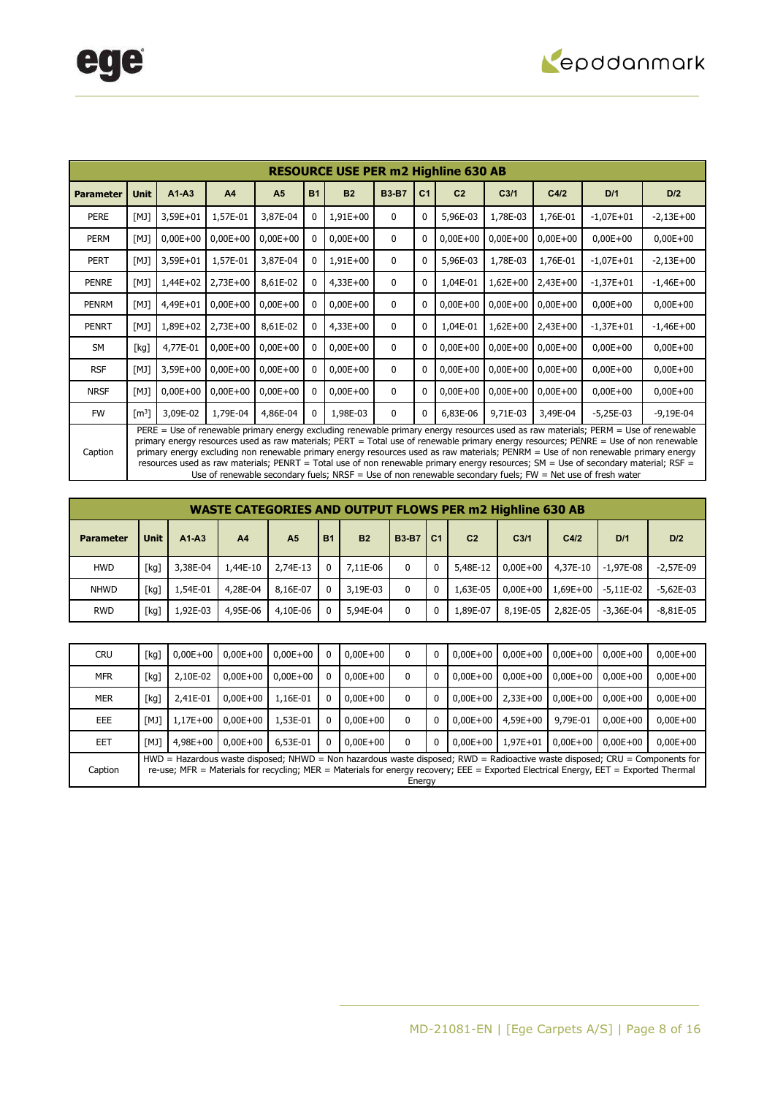

|                  |                     |            |                |                |           | <b>RESOURCE USE PER m2 Highline 630 AB</b> |              |                |                |                  |            |                                                                                                                                                                                                                                                                                                                                                                                                                                                                                                                                                                                                                                                                           |              |
|------------------|---------------------|------------|----------------|----------------|-----------|--------------------------------------------|--------------|----------------|----------------|------------------|------------|---------------------------------------------------------------------------------------------------------------------------------------------------------------------------------------------------------------------------------------------------------------------------------------------------------------------------------------------------------------------------------------------------------------------------------------------------------------------------------------------------------------------------------------------------------------------------------------------------------------------------------------------------------------------------|--------------|
| <b>Parameter</b> | <b>Unit</b>         | $A1-A3$    | A <sub>4</sub> | A <sub>5</sub> | <b>B1</b> | <b>B2</b>                                  | <b>B3-B7</b> | C <sub>1</sub> | C <sub>2</sub> | C <sub>3/1</sub> | C4/2       | D/1                                                                                                                                                                                                                                                                                                                                                                                                                                                                                                                                                                                                                                                                       | D/2          |
| <b>PERE</b>      | [M]                 | 3,59E+01   | 1,57E-01       | 3,87E-04       |           | $1,91E+00$                                 | 0            | 0              | 5,96E-03       | 1,78E-03         | 1,76E-01   | $-1,07E+01$                                                                                                                                                                                                                                                                                                                                                                                                                                                                                                                                                                                                                                                               | $-2,13E+00$  |
| PERM             | [M]                 | $0,00E+00$ | $0,00E+00$     | $0,00E+00$     |           | $0,00E+00$                                 | 0            | 0              | $0,00E+00$     | $0,00E+00$       | $0,00E+00$ | $0,00E+00$                                                                                                                                                                                                                                                                                                                                                                                                                                                                                                                                                                                                                                                                | $0,00E+00$   |
| <b>PERT</b>      | [M]                 | 3,59E+01   | 1,57E-01       | 3,87E-04       |           | $1,91E+00$                                 | 0            | 0              | 5,96E-03       | 1,78E-03         | 1,76E-01   | $-1,07E+01$                                                                                                                                                                                                                                                                                                                                                                                                                                                                                                                                                                                                                                                               | $-2,13E+00$  |
| <b>PENRE</b>     | [M]                 | $1,44E+02$ | $2,73E+00$     | 8,61E-02       |           | $4,33E+00$                                 | 0            | 0              | 1,04E-01       | $1,62E+00$       | $2,43E+00$ | $-1,37E+01$                                                                                                                                                                                                                                                                                                                                                                                                                                                                                                                                                                                                                                                               | $-1,46E+00$  |
| PENRM            | [M]                 | 4,49E+01   | $0,00E+00$     | $0,00E+00$     |           | $0,00E+00$                                 | $\mathbf{0}$ | 0              | $0,00E+00$     | $0,00E+00$       | $0,00E+00$ | $0,00E+00$                                                                                                                                                                                                                                                                                                                                                                                                                                                                                                                                                                                                                                                                | $0,00E+00$   |
| <b>PENRT</b>     | [M]                 | 1,89E+02   | 2,73E+00       | 8,61E-02       |           | $4,33E+00$                                 | 0            | 0              | 1,04E-01       | $1,62E+00$       | $2,43E+00$ | $-1,37E+01$                                                                                                                                                                                                                                                                                                                                                                                                                                                                                                                                                                                                                                                               | $-1,46E+00$  |
| SM               | [kg]                | 4,77E-01   | $0,00E+00$     | $0,00E+00$     |           | $0,00E+00$                                 | $\mathbf{0}$ | 0              | $0,00E+00$     | $0,00E+00$       | $0,00E+00$ | $0,00E+00$                                                                                                                                                                                                                                                                                                                                                                                                                                                                                                                                                                                                                                                                | $0,00E+00$   |
| <b>RSF</b>       | [M]                 | $3,59E+00$ | $0,00E+00$     | $0,00E+00$     |           | $0,00E+00$                                 | 0            | 0              | $0.00E + 00$   | $0.00E + 00$     | $0,00E+00$ | $0,00E + 00$                                                                                                                                                                                                                                                                                                                                                                                                                                                                                                                                                                                                                                                              | $0,00E + 00$ |
| <b>NRSF</b>      | [M]                 | $0,00E+00$ | $0,00E+00$     | $0,00E+00$     |           | $0,00E+00$                                 | 0            | 0              | $0,00E+00$     | $0,00E+00$       | $0,00E+00$ | $0,00E+00$                                                                                                                                                                                                                                                                                                                                                                                                                                                                                                                                                                                                                                                                | $0,00E + 00$ |
| <b>FW</b>        | $\lceil m^3 \rceil$ | 3,09E-02   | 1,79E-04       | 4,86E-04       | 0         | 1,98E-03                                   | 0            | 0              | 6,83E-06       | 9,71E-03         | 3,49E-04   | $-5,25E-03$                                                                                                                                                                                                                                                                                                                                                                                                                                                                                                                                                                                                                                                               | $-9,19E-04$  |
| Caption          |                     |            |                |                |           |                                            |              |                |                |                  |            | PERE = Use of renewable primary energy excluding renewable primary energy resources used as raw materials; PERM = Use of renewable<br>primary energy resources used as raw materials; PERT = Total use of renewable primary energy resources; PENRE = Use of non renewable<br>primary energy excluding non renewable primary energy resources used as raw materials; PENRM = Use of non renewable primary energy<br>resources used as raw materials; PENRT = Total use of non renewable primary energy resources; SM = Use of secondary material; RSF =<br>Use of renewable secondary fuels; $NRSF =$ Use of non renewable secondary fuels; $FW = Net$ use of fresh water |              |

**WASTE CATEGORIES AND OUTPUT FLOWS PER m2 Highline 630 AB Parameter Unit A1-A3 A4 A5 B1 B2 B3-B7 C1 C2 C3/1 C4/2 D/1 D/2** 

| <b>HWD</b>  | [kq] | 3,38E-04 | 1,44E-10 | 2,74E-13 | 7.11E-06 |  | 5,48E-12 | $0,00E+00$          |                      | 4,37E-10 -1,97E-08 | $-2.57E-09$ |
|-------------|------|----------|----------|----------|----------|--|----------|---------------------|----------------------|--------------------|-------------|
| <b>NHWD</b> | [kg] | 1,54E-01 | 4,28E-04 | 8,16E-07 | 3,19E-03 |  |          | $1,63E-05$ 0,00E+00 | $1,69E+00$ -5,11E-02 |                    | $-5.62E-03$ |
| <b>RWD</b>  | [kg] | 1,92E-03 | 4,95E-06 | 4,10E-06 | 5,94E-04 |  | 1,89E-07 | 8,19E-05            | 2,82E-05 -3,36E-04   |                    | $-8,81E-05$ |

| <b>CRU</b> | [kg] | $0.00E + 00$ | $0.00E + 00$ | $0,00E+00$   |          | $0.00E + 00$ | 0      | 0 | $0.00E + 00$ | $0.00E + 00$ | $0.00E + 00$ | $0.00E + 00$                                                                                                                         | $0,00E+00$                                                                                                                    |
|------------|------|--------------|--------------|--------------|----------|--------------|--------|---|--------------|--------------|--------------|--------------------------------------------------------------------------------------------------------------------------------------|-------------------------------------------------------------------------------------------------------------------------------|
| MFR        | [kg] | 2.10E-02     | $0.00E + 00$ | $0.00E + 00$ | 0        | $0,00E+00$   | 0      | 0 | $0.00E + 00$ | $0.00E + 00$ | $0.00E + 00$ | $0.00E + 00$                                                                                                                         | $0,00E+00$                                                                                                                    |
| <b>MER</b> | [kg] | 2,41E-01     | $0.00E + 00$ | 1.16E-01     | $\Omega$ | $0,00E+00$   | 0      | 0 | $0.00E + 00$ | $2.33E+00$   | $0,00E+00$   | $0.00E + 00$                                                                                                                         | $0,00E+00$                                                                                                                    |
| <b>EEE</b> | [MJ] | 1,17E+00     | $0.00E + 00$ | 1,53E-01     | 0        | $0,00E+00$   | 0      | 0 | $0.00E + 00$ | $4.59E + 00$ | 9,79E-01     | $0.00E + 00$                                                                                                                         | $0,00E+00$                                                                                                                    |
| EET        | [MJ] | $4.98E + 00$ | $0.00E + 00$ | 6,53E-01     | $\Omega$ | $0.00E + 00$ | 0      | 0 | $0.00E + 00$ | $1.97E + 01$ | $0.00E + 00$ | $0.00E + 00$                                                                                                                         | $0,00E+00$                                                                                                                    |
| Caption    |      |              |              |              |          |              | Energy |   |              |              |              | re-use; MFR = Materials for recycling; MER = Materials for energy recovery; EEE = Exported Electrical Energy, EET = Exported Thermal | $HWD =$ Hazardous waste disposed; NHWD = Non hazardous waste disposed; RWD = Radioactive waste disposed; CRU = Components for |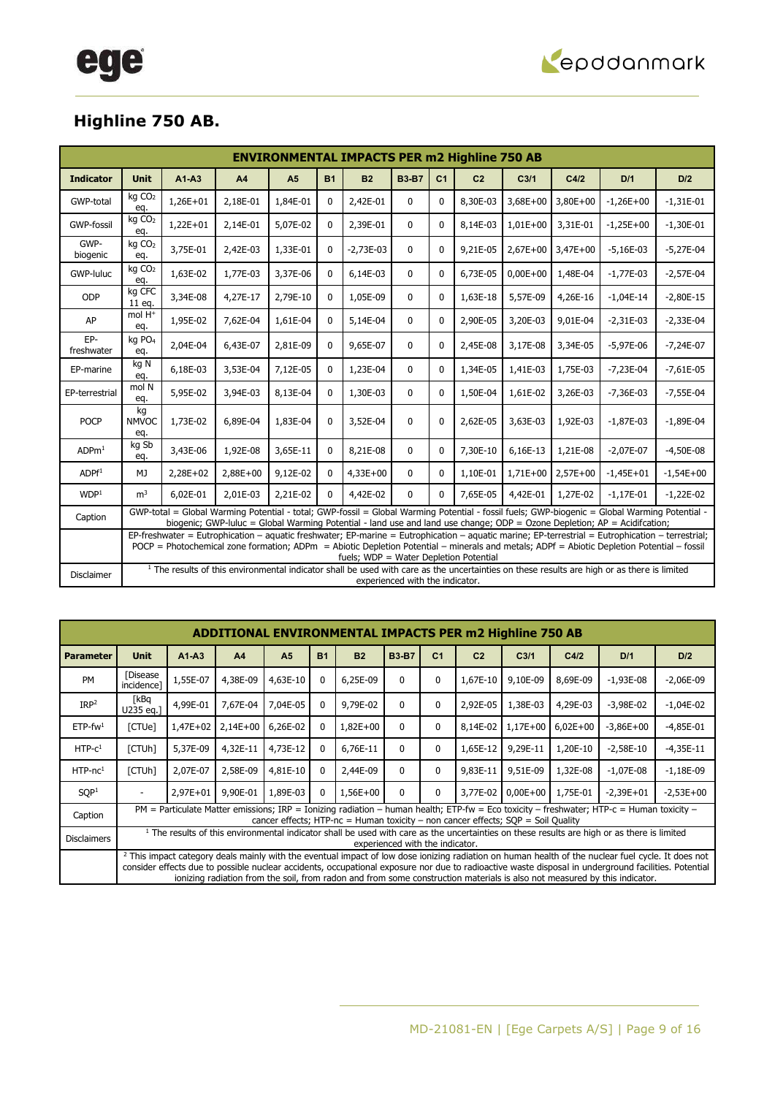

### **Highline 750 AB.**

|                   |                           |            |          |                |              | <b>ENVIRONMENTAL IMPACTS PER m2 Highline 750 AB</b> |                                 |                |                |                  |            |                                                                                                                                                                                                                                                                                                |             |
|-------------------|---------------------------|------------|----------|----------------|--------------|-----------------------------------------------------|---------------------------------|----------------|----------------|------------------|------------|------------------------------------------------------------------------------------------------------------------------------------------------------------------------------------------------------------------------------------------------------------------------------------------------|-------------|
| <b>Indicator</b>  | <b>Unit</b>               | $A1 - A3$  | A4       | A <sub>5</sub> | <b>B1</b>    | <b>B2</b>                                           | <b>B3-B7</b>                    | C <sub>1</sub> | C <sub>2</sub> | C <sub>3/1</sub> | C4/2       | D/1                                                                                                                                                                                                                                                                                            | D/2         |
| GWP-total         | kg CO <sub>2</sub><br>eq. | $1,26E+01$ | 2,18E-01 | 1,84E-01       | $\mathbf{0}$ | 2,42E-01                                            | $\mathbf{0}$                    | $\mathbf{0}$   | 8,30E-03       | $3,68E+00$       | $3,80E+00$ | $-1,26E+00$                                                                                                                                                                                                                                                                                    | $-1,31E-01$ |
| <b>GWP-fossil</b> | kg CO <sub>2</sub><br>eq. | $1,22E+01$ | 2,14E-01 | 5,07E-02       | 0            | 2,39E-01                                            | $\mathbf{0}$                    | $\mathbf{0}$   | 8,14E-03       | $1,01E+00$       | 3,31E-01   | $-1,25E+00$                                                                                                                                                                                                                                                                                    | $-1,30E-01$ |
| GWP-<br>biogenic  | kg CO <sub>2</sub><br>eq. | 3,75E-01   | 2,42E-03 | 1,33E-01       | $\mathbf{0}$ | $-2,73E-03$                                         | $\mathbf{0}$                    | $\Omega$       | 9,21E-05       | $2,67E+00$       | $3,47E+00$ | $-5,16E-03$                                                                                                                                                                                                                                                                                    | $-5,27E-04$ |
| GWP-luluc         | kg CO <sub>2</sub><br>eq. | 1,63E-02   | 1,77E-03 | 3,37E-06       | 0            | 6,14E-03                                            | 0                               | $\mathbf{0}$   | 6,73E-05       | $0,00E + 00$     | 1,48E-04   | $-1,77E-03$                                                                                                                                                                                                                                                                                    | $-2,57E-04$ |
| ODP               | kg CFC<br>11 eg.          | 3,34E-08   | 4,27E-17 | 2,79E-10       | $\mathbf{0}$ | 1,05E-09                                            | 0                               | $\Omega$       | 1,63E-18       | 5,57E-09         | 4,26E-16   | $-1,04E-14$                                                                                                                                                                                                                                                                                    | $-2,80E-15$ |
| AP                | mol H <sup>+</sup><br>eq. | 1,95E-02   | 7,62E-04 | 1,61E-04       | 0            | 5,14E-04                                            | 0                               | $\Omega$       | 2,90E-05       | 3,20E-03         | 9,01E-04   | $-2,31E-03$                                                                                                                                                                                                                                                                                    | $-2,33E-04$ |
| EP-<br>freshwater | kg PO <sub>4</sub><br>eq. | 2,04E-04   | 6,43E-07 | 2,81E-09       | 0            | 9,65E-07                                            | $\mathbf 0$                     | $\mathbf{0}$   | 2,45E-08       | 3,17E-08         | 3,34E-05   | $-5,97E-06$                                                                                                                                                                                                                                                                                    | $-7,24E-07$ |
| EP-marine         | kg N<br>eq.               | 6,18E-03   | 3,53E-04 | 7,12E-05       | $\mathbf{0}$ | 1,23E-04                                            | 0                               | $\Omega$       | 1,34E-05       | 1,41E-03         | 1,75E-03   | $-7,23E-04$                                                                                                                                                                                                                                                                                    | $-7,61E-05$ |
| EP-terrestrial    | mol N<br>eq.              | 5,95E-02   | 3,94E-03 | 8,13E-04       | $\mathbf{0}$ | 1,30E-03                                            | $\mathbf 0$                     | $\Omega$       | 1,50E-04       | 1,61E-02         | 3,26E-03   | $-7,36E-03$                                                                                                                                                                                                                                                                                    | $-7,55E-04$ |
| <b>POCP</b>       | kg<br><b>NMVOC</b><br>eq. | 1,73E-02   | 6,89E-04 | 1,83E-04       | 0            | 3,52E-04                                            | 0                               | $\mathbf{0}$   | 2,62E-05       | 3,63E-03         | 1,92E-03   | $-1,87E-03$                                                                                                                                                                                                                                                                                    | $-1,89E-04$ |
| ADPm <sup>1</sup> | kg Sb<br>eq.              | 3,43E-06   | 1,92E-08 | 3,65E-11       | $\mathbf{0}$ | 8,21E-08                                            | 0                               | $\Omega$       | 7,30E-10       | 6,16E-13         | 1,21E-08   | $-2,07E-07$                                                                                                                                                                                                                                                                                    | $-4,50E-08$ |
| ADPf <sup>1</sup> | MJ                        | 2,28E+02   | 2,88E+00 | 9,12E-02       | $\mathbf{0}$ | $4,33E+00$                                          | $\mathbf{0}$                    | $\Omega$       | 1,10E-01       | $1,71E+00$       | $2,57E+00$ | $-1,45E+01$                                                                                                                                                                                                                                                                                    | $-1,54E+00$ |
| WDP <sup>1</sup>  | m <sup>3</sup>            | 6,02E-01   | 2,01E-03 | 2,21E-02       | 0            | 4,42E-02                                            | $\mathbf{0}$                    | $\Omega$       | 7,65E-05       | 4,42E-01         | 1,27E-02   | $-1,17E-01$                                                                                                                                                                                                                                                                                    | $-1,22E-02$ |
| Caption           |                           |            |          |                |              |                                                     |                                 |                |                |                  |            | GWP-total = Global Warming Potential - total; GWP-fossil = Global Warming Potential - fossil fuels; GWP-biogenic = Global Warming Potential -<br>biogenic; GWP-luluc = Global Warming Potential - land use and land use change; ODP = Ozone Depletion; AP = Acidifcation;                      |             |
|                   |                           |            |          |                |              | fuels; WDP = Water Depletion Potential              |                                 |                |                |                  |            | EP-freshwater = Eutrophication - aquatic freshwater; EP-marine = Eutrophication - aquatic marine; EP-terrestrial = Eutrophication - terrestrial;<br>POCP = Photochemical zone formation; ADPm = Abiotic Depletion Potential - minerals and metals; ADPf = Abiotic Depletion Potential - fossil |             |
| <b>Disclaimer</b> |                           |            |          |                |              |                                                     | experienced with the indicator. |                |                |                  |            | <sup>1</sup> The results of this environmental indicator shall be used with care as the uncertainties on these results are high or as there is limited                                                                                                                                         |             |

|                        |                        |            |                |                |              | <b>ADDITIONAL ENVIRONMENTAL IMPACTS PER m2 Highline 750 AB</b>                     |                                 |                |                |                  |            |                                                                                                                                                                                                                                                                                                                                                                                                                                                    |             |
|------------------------|------------------------|------------|----------------|----------------|--------------|------------------------------------------------------------------------------------|---------------------------------|----------------|----------------|------------------|------------|----------------------------------------------------------------------------------------------------------------------------------------------------------------------------------------------------------------------------------------------------------------------------------------------------------------------------------------------------------------------------------------------------------------------------------------------------|-------------|
| <b>Parameter</b>       | <b>Unit</b>            | $A1-A3$    | A <sub>4</sub> | A <sub>5</sub> | <b>B1</b>    | <b>B2</b>                                                                          | <b>B3-B7</b>                    | C <sub>1</sub> | C <sub>2</sub> | C <sub>3/1</sub> | C4/2       | D/1                                                                                                                                                                                                                                                                                                                                                                                                                                                | D/2         |
| <b>PM</b>              | [Disease<br>incidence] | 1,55E-07   | 4,38E-09       | 4,63E-10       | $\mathbf{0}$ | 6,25E-09                                                                           | $\Omega$                        | 0              | 1,67E-10       | 9,10E-09         | 8,69E-09   | $-1,93E-08$                                                                                                                                                                                                                                                                                                                                                                                                                                        | $-2,06E-09$ |
| IRP <sup>2</sup>       | [kBq<br>U235 eq.]      | 4,99E-01   | 7.67E-04       | 7,04E-05       | $\mathbf{0}$ | 9,79E-02                                                                           | 0                               | 0              | 2,92E-05       | 1,38E-03         | 4,29E-03   | $-3,98E-02$                                                                                                                                                                                                                                                                                                                                                                                                                                        | $-1,04E-02$ |
| $ETP$ -fw <sup>1</sup> | [CTUe]                 | $1,47E+02$ | $2,14E+00$     | 6,26E-02       | $\mathbf{0}$ | $1,82E+00$                                                                         | $\Omega$                        | $\mathbf{0}$   | 8.14E-02       | 1,17E+00         | $6,02E+00$ | $-3,86E+00$                                                                                                                                                                                                                                                                                                                                                                                                                                        | $-4,85E-01$ |
| $HTP-C1$               | [CTUh]                 | 5,37E-09   | 4,32E-11       | 4,73E-12       | $\mathbf{0}$ | 6,76E-11                                                                           | $\Omega$                        | $\mathbf{0}$   | 1,65E-12       | 9,29E-11         | 1,20E-10   | $-2,58E-10$                                                                                                                                                                                                                                                                                                                                                                                                                                        | $-4,35E-11$ |
| $HTP-nc1$              | [CTUh]                 | 2,07E-07   | 2,58E-09       | 4,81E-10       | 0            | 2,44E-09                                                                           | $\Omega$                        | 0              | 9.83E-11       | 9,51E-09         | 1,32E-08   | $-1,07E-08$                                                                                                                                                                                                                                                                                                                                                                                                                                        | $-1,18E-09$ |
| SOP <sup>1</sup>       |                        | 2,97E+01   | 9,90E-01       | 1,89E-03       | $\mathbf{0}$ | 1,56E+00                                                                           | $\Omega$                        | $\mathbf{0}$   | 3,77E-02       | $0,00E+00$       | 1,75E-01   | $-2.39E + 01$                                                                                                                                                                                                                                                                                                                                                                                                                                      | $-2,53E+00$ |
| Caption                |                        |            |                |                |              | cancer effects; HTP-nc = Human toxicity – non cancer effects; $SOP = Soil$ Quality |                                 |                |                |                  |            | PM = Particulate Matter emissions; IRP = Ionizing radiation – human health; ETP-fw = Eco toxicity – freshwater; HTP-c = Human toxicity –                                                                                                                                                                                                                                                                                                           |             |
| <b>Disclaimers</b>     |                        |            |                |                |              |                                                                                    | experienced with the indicator. |                |                |                  |            | <sup>1</sup> The results of this environmental indicator shall be used with care as the uncertainties on these results are high or as there is limited                                                                                                                                                                                                                                                                                             |             |
|                        |                        |            |                |                |              |                                                                                    |                                 |                |                |                  |            | <sup>2</sup> This impact category deals mainly with the eventual impact of low dose ionizing radiation on human health of the nuclear fuel cycle. It does not<br>consider effects due to possible nuclear accidents, occupational exposure nor due to radioactive waste disposal in underground facilities. Potential<br>ionizing radiation from the soil, from radon and from some construction materials is also not measured by this indicator. |             |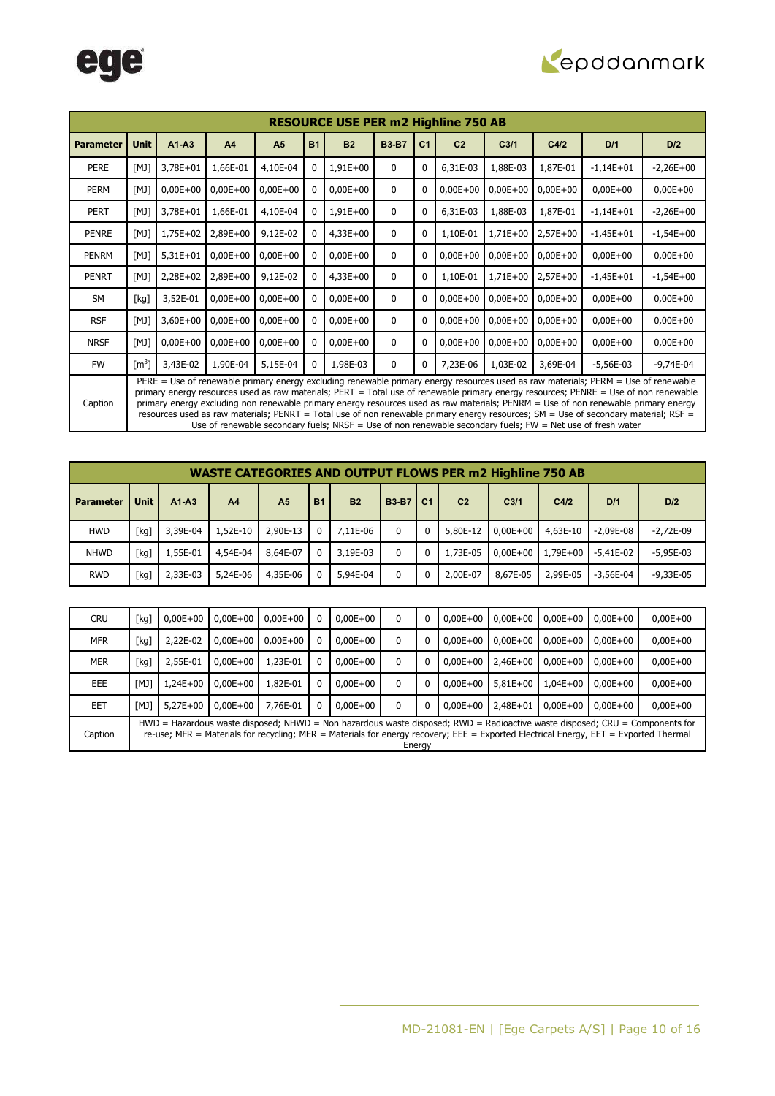

|                  |                     |            |                |                |           | <b>RESOURCE USE PER m2 Highline 750 AB</b> |              |                |                |                  |            |                                                                                                                                                                                                                                                                                                                                                                                                                                                                                                                                                                                                                                                                       |             |
|------------------|---------------------|------------|----------------|----------------|-----------|--------------------------------------------|--------------|----------------|----------------|------------------|------------|-----------------------------------------------------------------------------------------------------------------------------------------------------------------------------------------------------------------------------------------------------------------------------------------------------------------------------------------------------------------------------------------------------------------------------------------------------------------------------------------------------------------------------------------------------------------------------------------------------------------------------------------------------------------------|-------------|
| <b>Parameter</b> | <b>Unit</b>         | $A1 - A3$  | A <sub>4</sub> | A <sub>5</sub> | <b>B1</b> | B2                                         | <b>B3-B7</b> | C <sub>1</sub> | C <sub>2</sub> | C <sub>3/1</sub> | C4/2       | D/1                                                                                                                                                                                                                                                                                                                                                                                                                                                                                                                                                                                                                                                                   | D/2         |
| <b>PERE</b>      | [M]                 | 3,78E+01   | 1,66E-01       | 4,10E-04       |           | 1,91E+00                                   | $\mathbf{0}$ | 0              | 6,31E-03       | 1,88E-03         | 1,87E-01   | $-1,14E+01$                                                                                                                                                                                                                                                                                                                                                                                                                                                                                                                                                                                                                                                           | $-2,26E+00$ |
| PERM             | [M]                 | $0,00E+00$ | $0,00E + 00$   | $0,00E+00$     |           | $0,00E+00$                                 | $\mathbf{0}$ | 0              | $0,00E+00$     | $0,00E+00$       | $0,00E+00$ | $0,00E+00$                                                                                                                                                                                                                                                                                                                                                                                                                                                                                                                                                                                                                                                            | $0,00E+00$  |
| PERT             | [M]                 | 3,78E+01   | 1,66E-01       | 4,10E-04       |           | $1,91E+00$                                 | $\mathbf{0}$ | $\mathbf{0}$   | 6,31E-03       | 1,88E-03         | 1,87E-01   | $-1,14E+01$                                                                                                                                                                                                                                                                                                                                                                                                                                                                                                                                                                                                                                                           | $-2,26E+00$ |
| <b>PENRE</b>     | [M]                 | 1,75E+02   | 2,89E+00       | 9,12E-02       |           | $4,33E+00$                                 | $\mathbf{0}$ | $\mathbf{0}$   | 1,10E-01       | 1,71E+00         | $2,57E+00$ | $-1,45E+01$                                                                                                                                                                                                                                                                                                                                                                                                                                                                                                                                                                                                                                                           | $-1,54E+00$ |
| PENRM            | [M]                 | $5,31E+01$ | $0,00E+00$     | $0,00E+00$     |           | $0,00E+00$                                 | $\mathbf{0}$ | 0              | $0,00E+00$     | $0,00E+00$       | $0,00E+00$ | $0,00E+00$                                                                                                                                                                                                                                                                                                                                                                                                                                                                                                                                                                                                                                                            | $0,00E+00$  |
| <b>PENRT</b>     | [M]                 | 2,28E+02   | 2,89E+00       | 9,12E-02       |           | $4,33E+00$                                 | $\mathbf{0}$ | $\mathbf{0}$   | 1,10E-01       | $1,71E+00$       | $2,57E+00$ | $-1,45E+01$                                                                                                                                                                                                                                                                                                                                                                                                                                                                                                                                                                                                                                                           | $-1,54E+00$ |
| <b>SM</b>        | [kg]                | 3,52E-01   | $0,00E+00$     | $0,00E+00$     |           | $0,00E+00$                                 | $\mathbf{0}$ | 0              | $0,00E + 00$   | $0,00E+00$       | $0,00E+00$ | $0,00E+00$                                                                                                                                                                                                                                                                                                                                                                                                                                                                                                                                                                                                                                                            | $0,00E+00$  |
| <b>RSF</b>       | [M]                 | $3,60E+00$ | $0,00E + 00$   | $0,00E+00$     |           | $0,00E+00$                                 | $\mathbf{0}$ | 0              | $0,00E+00$     | $0,00E+00$       | $0,00E+00$ | $0,00E+00$                                                                                                                                                                                                                                                                                                                                                                                                                                                                                                                                                                                                                                                            | $0,00E+00$  |
| <b>NRSF</b>      | [M]                 | $0,00E+00$ | $0,00E+00$     | $0,00E + 00$   |           | $0,00E+00$                                 | $\mathbf{0}$ | 0              | $0,00E + 00$   | $0,00E+00$       | $0,00E+00$ | $0,00E+00$                                                                                                                                                                                                                                                                                                                                                                                                                                                                                                                                                                                                                                                            | $0,00E+00$  |
| <b>FW</b>        | $\lceil m^3 \rceil$ | 3,43E-02   | 1,90E-04       | 5,15E-04       | 0         | 1,98E-03                                   | $\mathbf{0}$ | 0              | 7,23E-06       | 1,03E-02         | 3,69E-04   | $-5,56E-03$                                                                                                                                                                                                                                                                                                                                                                                                                                                                                                                                                                                                                                                           | $-9,74E-04$ |
| Caption          |                     |            |                |                |           |                                            |              |                |                |                  |            | PERE = Use of renewable primary energy excluding renewable primary energy resources used as raw materials; PERM = Use of renewable<br>primary energy resources used as raw materials; PERT = Total use of renewable primary energy resources; PENRE = Use of non renewable<br>primary energy excluding non renewable primary energy resources used as raw materials; PENRM = Use of non renewable primary energy<br>resources used as raw materials; PENRT = Total use of non renewable primary energy resources; SM = Use of secondary material; RSF =<br>Use of renewable secondary fuels; NRSF = Use of non renewable secondary fuels; FW = Net use of fresh water |             |

|                  |             |          |                |                |           |                |              |          |                | <b>WASTE CATEGORIES AND OUTPUT FLOWS PER m2 Highline 750 AB</b> |          |             |               |
|------------------|-------------|----------|----------------|----------------|-----------|----------------|--------------|----------|----------------|-----------------------------------------------------------------|----------|-------------|---------------|
| <b>Parameter</b> | <b>Unit</b> | $A1-A3$  | A <sub>4</sub> | A <sub>5</sub> | <b>B1</b> | B <sub>2</sub> | <b>B3-B7</b> | l C1     | C <sub>2</sub> | C <sub>3/1</sub>                                                | C4/2     | D/1         | D/2           |
| <b>HWD</b>       | [kg]        | 3,39E-04 | 1,52E-10       | 2,90E-13       | 0         | 7,11E-06       | $\mathbf{0}$ | 0        | 5,80E-12       | $0.00E + 00$                                                    | 4,63E-10 | $-2.09E-08$ | $-2.72E-09$   |
| <b>NHWD</b>      | [kg]        | 1,55E-01 | 4,54E-04       | 8,64E-07       | $\Omega$  | 3,19E-03       | $\mathbf{0}$ | $\Omega$ | 1,73E-05       | $0.00E + 00$                                                    | 1,79E+00 | $-5.41E-02$ | $-5.95E-03$   |
| <b>RWD</b>       | [kg]        | 2.33E-03 | 5,24E-06       | 4,35E-06       | $\Omega$  | 5,94E-04       | 0            | $\Omega$ | 2,00E-07       | 8,67E-05                                                        | 2,99E-05 | $-3.56E-04$ | $-9.33E - 05$ |

| <b>CRU</b> | [kg]                                                                                                                                                                                                                                                                            | $0,00E+00$   | $0,00E+00$   | $0.00E + 00$ | 0            | $0.00E + 00$ | 0            | 0            | $0.00E + 00$ | $0.00E + 00$ | $0.00E + 00$ | $0.00E + 00$ | $0,00E+00$   |
|------------|---------------------------------------------------------------------------------------------------------------------------------------------------------------------------------------------------------------------------------------------------------------------------------|--------------|--------------|--------------|--------------|--------------|--------------|--------------|--------------|--------------|--------------|--------------|--------------|
| <b>MFR</b> | [kg]                                                                                                                                                                                                                                                                            | 2,22E-02     | $0.00E + 00$ | $0.00E + 00$ | 0            | $0.00E + 00$ | 0            | 0            | $0.00E + 00$ | $0.00E + 00$ | $0.00E + 00$ | $0.00E + 00$ | $0,00E+00$   |
| <b>MER</b> | [kg]                                                                                                                                                                                                                                                                            | 2,55E-01     | $0.00E + 00$ | 1,23E-01     | $\mathbf{0}$ | $0.00E + 00$ | 0            | $\mathbf{0}$ | $0.00E + 00$ | $2.46E + 00$ | $0.00E + 00$ | $0.00E + 00$ | $0,00E+00$   |
| EEE        | [MJ]                                                                                                                                                                                                                                                                            | $1.24E + 00$ | $0.00E + 00$ | 1,82E-01     | $\mathbf{0}$ | $0,00E+00$   | $\mathbf{0}$ | 0            | $0.00E + 00$ | $5,81E+00$   | $1.04E + 00$ | $0.00E + 00$ | $0,00E+00$   |
| <b>EET</b> | [MJ]                                                                                                                                                                                                                                                                            | $5.27E + 00$ | $0,00E+00$   | 7.76E-01     | $\mathbf{0}$ | $0,00E+00$   | $\mathbf{0}$ | $\mathbf{0}$ | $0.00E + 00$ | $2.48E + 01$ | $0.00E + 00$ | $0.00E + 00$ | $0.00E + 00$ |
| Caption    | $HWD =$ Hazardous waste disposed; NHWD = Non hazardous waste disposed; RWD = Radioactive waste disposed; CRU = Components for<br>re-use; MFR = Materials for recycling; MER = Materials for energy recovery; EEE = Exported Electrical Energy, EET = Exported Thermal<br>Energy |              |              |              |              |              |              |              |              |              |              |              |              |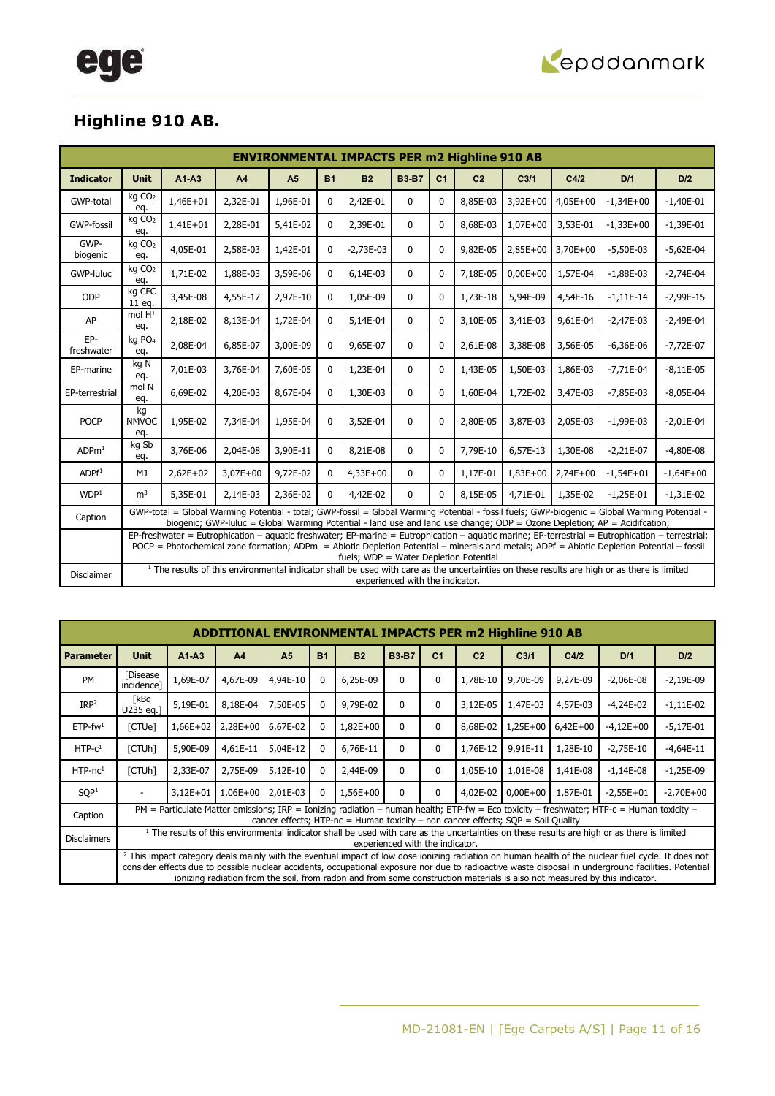

### **Highline 910 AB.**

|                   | <b>ENVIRONMENTAL IMPACTS PER m2 Highline 910 AB</b>                                                                                                                                                                                                                                                                                      |            |          |                |              |             |                                 |                |                |                  |            |                                                                                                                                                        |             |
|-------------------|------------------------------------------------------------------------------------------------------------------------------------------------------------------------------------------------------------------------------------------------------------------------------------------------------------------------------------------|------------|----------|----------------|--------------|-------------|---------------------------------|----------------|----------------|------------------|------------|--------------------------------------------------------------------------------------------------------------------------------------------------------|-------------|
| <b>Indicator</b>  | <b>Unit</b>                                                                                                                                                                                                                                                                                                                              | $A1-A3$    | A4       | A <sub>5</sub> | <b>B1</b>    | <b>B2</b>   | <b>B3-B7</b>                    | C <sub>1</sub> | C <sub>2</sub> | C <sub>3/1</sub> | C4/2       | D/1                                                                                                                                                    | D/2         |
| GWP-total         | kg CO <sub>2</sub><br>eq.                                                                                                                                                                                                                                                                                                                | 1,46E+01   | 2,32E-01 | 1,96E-01       | $\mathbf{0}$ | 2,42E-01    | $\mathbf{0}$                    | $\mathbf{0}$   | 8,85E-03       | $3,92E+00$       | $4,05E+00$ | $-1,34E+00$                                                                                                                                            | $-1,40E-01$ |
| <b>GWP-fossil</b> | kg CO <sub>2</sub><br>eq.                                                                                                                                                                                                                                                                                                                | $1,41E+01$ | 2,28E-01 | 5,41E-02       | 0            | 2,39E-01    | $\mathbf{0}$                    | $\mathbf{0}$   | 8,68E-03       | $1,07E+00$       | 3,53E-01   | $-1,33E+00$                                                                                                                                            | $-1,39E-01$ |
| GWP-<br>biogenic  | kg CO <sub>2</sub><br>eq.                                                                                                                                                                                                                                                                                                                | 4,05E-01   | 2,58E-03 | 1,42E-01       | $\mathbf{0}$ | $-2,73E-03$ | $\mathbf{0}$                    | $\Omega$       | 9,82E-05       | $2,85E+00$       | 3,70E+00   | $-5,50E-03$                                                                                                                                            | $-5,62E-04$ |
| GWP-luluc         | kg CO <sub>2</sub><br>eq.                                                                                                                                                                                                                                                                                                                | 1,71E-02   | 1,88E-03 | 3,59E-06       | 0            | 6,14E-03    | 0                               | $\Omega$       | 7,18E-05       | $0,00E + 00$     | 1,57E-04   | $-1,88E-03$                                                                                                                                            | $-2,74E-04$ |
| ODP               | kg CFC<br>11 eg.                                                                                                                                                                                                                                                                                                                         | 3,45E-08   | 4,55E-17 | 2,97E-10       | $\mathbf{0}$ | 1,05E-09    | 0                               | $\Omega$       | 1,73E-18       | 5,94E-09         | 4,54E-16   | $-1,11E-14$                                                                                                                                            | $-2,99E-15$ |
| AP                | mol H <sup>+</sup><br>eq.                                                                                                                                                                                                                                                                                                                | 2,18E-02   | 8,13E-04 | 1,72E-04       | 0            | 5,14E-04    | 0                               | $\Omega$       | 3,10E-05       | 3,41E-03         | 9,61E-04   | $-2,47E-03$                                                                                                                                            | $-2,49E-04$ |
| EP-<br>freshwater | kg PO <sub>4</sub><br>eq.                                                                                                                                                                                                                                                                                                                | 2,08E-04   | 6,85E-07 | 3,00E-09       | 0            | 9,65E-07    | $\mathbf 0$                     | $\mathbf{0}$   | 2,61E-08       | 3,38E-08         | 3,56E-05   | $-6,36E-06$                                                                                                                                            | $-7,72E-07$ |
| EP-marine         | kg N<br>eq.                                                                                                                                                                                                                                                                                                                              | 7,01E-03   | 3,76E-04 | 7,60E-05       | $\mathbf{0}$ | 1,23E-04    | 0                               | $\mathbf{0}$   | 1,43E-05       | 1,50E-03         | 1,86E-03   | $-7,71E-04$                                                                                                                                            | $-8,11E-05$ |
| EP-terrestrial    | mol N<br>eq.                                                                                                                                                                                                                                                                                                                             | 6,69E-02   | 4,20E-03 | 8,67E-04       | 0            | 1,30E-03    | $\mathbf 0$                     | $\Omega$       | 1,60E-04       | 1,72E-02         | 3,47E-03   | $-7,85E-03$                                                                                                                                            | $-8,05E-04$ |
| <b>POCP</b>       | kg<br><b>NMVOC</b><br>eq.                                                                                                                                                                                                                                                                                                                | 1,95E-02   | 7,34E-04 | 1,95E-04       | $\mathbf 0$  | 3,52E-04    | $\mathbf 0$                     | $\mathbf{0}$   | 2,80E-05       | 3,87E-03         | 2,05E-03   | $-1,99E-03$                                                                                                                                            | $-2,01E-04$ |
| ADPm <sup>1</sup> | kg Sb<br>eq.                                                                                                                                                                                                                                                                                                                             | 3,76E-06   | 2,04E-08 | 3,90E-11       | $\mathbf{0}$ | 8,21E-08    | 0                               | $\Omega$       | 7,79E-10       | 6,57E-13         | 1,30E-08   | $-2,21E-07$                                                                                                                                            | $-4,80E-08$ |
| ADPf <sup>1</sup> | MJ                                                                                                                                                                                                                                                                                                                                       | $2,62E+02$ | 3,07E+00 | 9,72E-02       | $\mathbf{0}$ | $4,33E+00$  | $\mathbf{0}$                    | $\Omega$       | 1,17E-01       | $1,83E+00$       | $2,74E+00$ | $-1,54E+01$                                                                                                                                            | $-1,64E+00$ |
| WDP <sup>1</sup>  | m <sup>3</sup>                                                                                                                                                                                                                                                                                                                           | 5,35E-01   | 2,14E-03 | 2,36E-02       | 0            | 4,42E-02    | $\mathbf{0}$                    | $\Omega$       | 8,15E-05       | 4,71E-01         | 1,35E-02   | $-1,25E-01$                                                                                                                                            | $-1,31E-02$ |
| Caption           | GWP-total = Global Warming Potential - total; GWP-fossil = Global Warming Potential - fossil fuels; GWP-biogenic = Global Warming Potential -<br>biogenic; GWP-luluc = Global Warming Potential - land use and land use change; ODP = Ozone Depletion; AP = Acidifcation;                                                                |            |          |                |              |             |                                 |                |                |                  |            |                                                                                                                                                        |             |
|                   | EP-freshwater = Eutrophication - aquatic freshwater; EP-marine = Eutrophication - aquatic marine; EP-terrestrial = Eutrophication - terrestrial;<br>POCP = Photochemical zone formation; ADPm = Abiotic Depletion Potential - minerals and metals; ADPf = Abiotic Depletion Potential - fossil<br>fuels; WDP = Water Depletion Potential |            |          |                |              |             |                                 |                |                |                  |            |                                                                                                                                                        |             |
| <b>Disclaimer</b> |                                                                                                                                                                                                                                                                                                                                          |            |          |                |              |             | experienced with the indicator. |                |                |                  |            | <sup>1</sup> The results of this environmental indicator shall be used with care as the uncertainties on these results are high or as there is limited |             |

|                        | <b>ADDITIONAL ENVIRONMENTAL IMPACTS PER m2 Highline 910 AB</b>                                                                                                                            |                                                                                                                                                                                                                                                                                                                                                                                                                                                    |                |                |           |            |              |                |                |                  |            |             |             |
|------------------------|-------------------------------------------------------------------------------------------------------------------------------------------------------------------------------------------|----------------------------------------------------------------------------------------------------------------------------------------------------------------------------------------------------------------------------------------------------------------------------------------------------------------------------------------------------------------------------------------------------------------------------------------------------|----------------|----------------|-----------|------------|--------------|----------------|----------------|------------------|------------|-------------|-------------|
| <b>Parameter</b>       | <b>Unit</b>                                                                                                                                                                               | $A1-A3$                                                                                                                                                                                                                                                                                                                                                                                                                                            | A <sub>4</sub> | A <sub>5</sub> | <b>B1</b> | <b>B2</b>  | <b>B3-B7</b> | C <sub>1</sub> | C <sub>2</sub> | C <sub>3/1</sub> | C4/2       | D/1         | D/2         |
| <b>PM</b>              | [Disease]<br>incidence]                                                                                                                                                                   | 1,69E-07                                                                                                                                                                                                                                                                                                                                                                                                                                           | 4,67E-09       | 4,94E-10       | 0         | 6,25E-09   | $\Omega$     | 0              | 1,78E-10       | 9,70E-09         | 9,27E-09   | $-2,06E-08$ | $-2,19E-09$ |
| IRP <sup>2</sup>       | [kBq<br>U235 eg.1                                                                                                                                                                         | 5,19E-01                                                                                                                                                                                                                                                                                                                                                                                                                                           | 8.18E-04       | 7,50E-05       | 0         | 9,79E-02   | 0            | 0              | 3,12E-05       | 1,47E-03         | 4,57E-03   | $-4,24E-02$ | $-1,11E-02$ |
| $ETP$ -fw <sup>1</sup> | [CTUe]                                                                                                                                                                                    | 1,66E+02                                                                                                                                                                                                                                                                                                                                                                                                                                           | 2,28E+00       | 6,67E-02       | 0         | $1,82E+00$ | $\Omega$     | $\mathbf{0}$   | 8,68E-02       | $1,25E+00$       | $6,42E+00$ | $-4,12E+00$ | $-5,17E-01$ |
| $HTP-C1$               | [CTUh]                                                                                                                                                                                    | 5,90E-09                                                                                                                                                                                                                                                                                                                                                                                                                                           | 4,61E-11       | 5,04E-12       | 0         | 6,76E-11   | $\Omega$     | $\mathbf{0}$   | 1,76E-12       | 9,91E-11         | 1,28E-10   | $-2,75E-10$ | $-4,64E-11$ |
| $HTP-nc1$              | [CTUh]                                                                                                                                                                                    | 2,33E-07                                                                                                                                                                                                                                                                                                                                                                                                                                           | 2,75E-09       | 5,12E-10       | 0         | 2,44E-09   | $\Omega$     | 0              | 1,05E-10       | 1,01E-08         | 1,41E-08   | $-1,14E-08$ | $-1,25E-09$ |
| SOP <sup>1</sup>       |                                                                                                                                                                                           | $3,12E+01$                                                                                                                                                                                                                                                                                                                                                                                                                                         | 1,06E+00       | 2,01E-03       | 0         | 1,56E+00   | $\mathbf{0}$ | $\mathbf{0}$   | 4.02E-02       | $0,00E+00$       | 1,87E-01   | $-2.55E+01$ | $-2,70E+00$ |
| Caption                |                                                                                                                                                                                           | PM = Particulate Matter emissions; IRP = Ionizing radiation – human health; ETP-fw = Eco toxicity – freshwater; HTP-c = Human toxicity –<br>cancer effects; HTP-nc = Human toxicity – non cancer effects; $SOP = Soil$ Quality                                                                                                                                                                                                                     |                |                |           |            |              |                |                |                  |            |             |             |
| <b>Disclaimers</b>     | <sup>1</sup> The results of this environmental indicator shall be used with care as the uncertainties on these results are high or as there is limited<br>experienced with the indicator. |                                                                                                                                                                                                                                                                                                                                                                                                                                                    |                |                |           |            |              |                |                |                  |            |             |             |
|                        |                                                                                                                                                                                           | <sup>2</sup> This impact category deals mainly with the eventual impact of low dose ionizing radiation on human health of the nuclear fuel cycle. It does not<br>consider effects due to possible nuclear accidents, occupational exposure nor due to radioactive waste disposal in underground facilities. Potential<br>ionizing radiation from the soil, from radon and from some construction materials is also not measured by this indicator. |                |                |           |            |              |                |                |                  |            |             |             |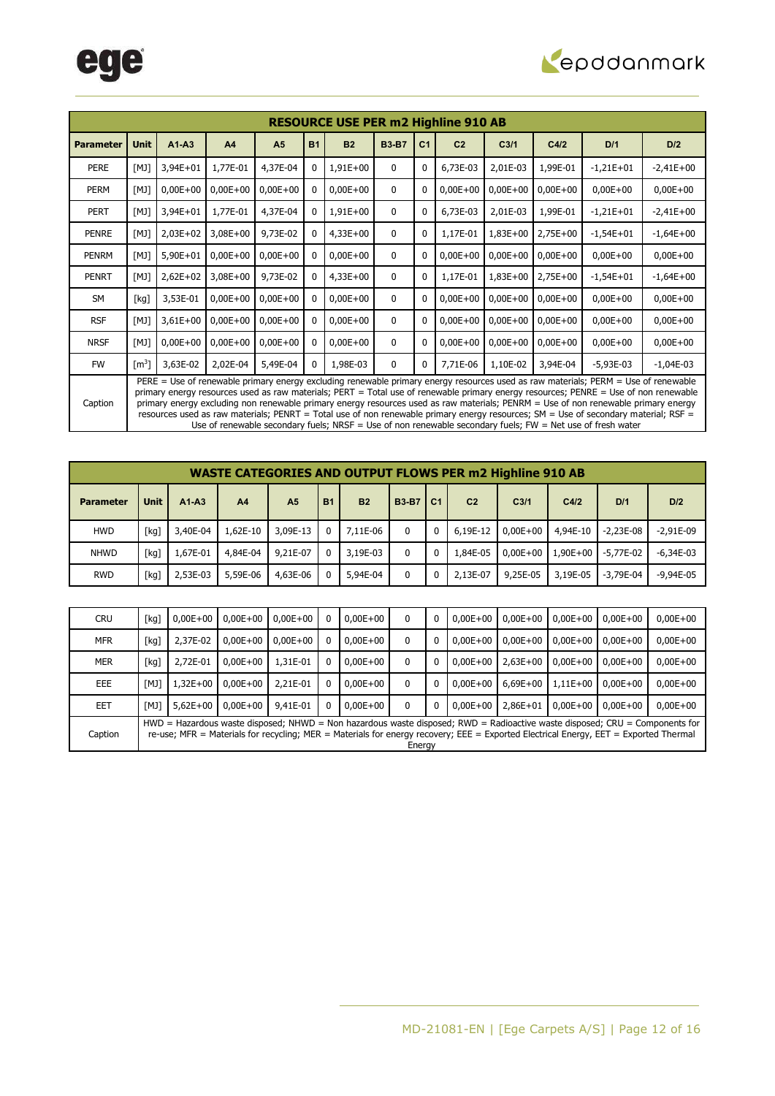

|                  | <b>RESOURCE USE PER m2 Highline 910 AB</b>                                                                                                                                                                                                                                                                                                                                                                                                                                                                                                                                                                                                                                  |            |            |                |           |              |              |                |                |                  |            |              |             |
|------------------|-----------------------------------------------------------------------------------------------------------------------------------------------------------------------------------------------------------------------------------------------------------------------------------------------------------------------------------------------------------------------------------------------------------------------------------------------------------------------------------------------------------------------------------------------------------------------------------------------------------------------------------------------------------------------------|------------|------------|----------------|-----------|--------------|--------------|----------------|----------------|------------------|------------|--------------|-------------|
| <b>Parameter</b> | <b>Unit</b>                                                                                                                                                                                                                                                                                                                                                                                                                                                                                                                                                                                                                                                                 | $A1-A3$    | A4         | A <sub>5</sub> | <b>B1</b> | B2           | <b>B3-B7</b> | C <sub>1</sub> | C <sub>2</sub> | C <sub>3/1</sub> | C4/2       | D/1          | D/2         |
| <b>PERE</b>      | [M]                                                                                                                                                                                                                                                                                                                                                                                                                                                                                                                                                                                                                                                                         | 3,94E+01   | 1,77E-01   | 4,37E-04       |           | 1,91E+00     | $\mathbf{0}$ | 0              | 6,73E-03       | 2,01E-03         | 1,99E-01   | $-1,21E+01$  | $-2,41E+00$ |
| <b>PERM</b>      | [M]                                                                                                                                                                                                                                                                                                                                                                                                                                                                                                                                                                                                                                                                         | $0,00E+00$ | $0,00E+00$ | $0,00E+00$     |           | $0,00E + 00$ | $\mathbf{0}$ | 0              | $0,00E+00$     | $0,00E+00$       | $0,00E+00$ | $0,00E + 00$ | $0,00E+00$  |
| <b>PERT</b>      | [MJ]                                                                                                                                                                                                                                                                                                                                                                                                                                                                                                                                                                                                                                                                        | 3,94E+01   | 1,77E-01   | 4,37E-04       |           | 1,91E+00     | 0            | $\mathbf{0}$   | 6,73E-03       | 2,01E-03         | 1,99E-01   | $-1,21E+01$  | $-2,41E+00$ |
| PENRE            | [M]                                                                                                                                                                                                                                                                                                                                                                                                                                                                                                                                                                                                                                                                         | $2,03E+02$ | $3,08E+00$ | 9,73E-02       |           | $4,33E+00$   | $\mathbf{0}$ | 0              | 1,17E-01       | $1,83E+00$       | $2,75E+00$ | $-1,54E+01$  | $-1,64E+00$ |
| <b>PENRM</b>     | [M]                                                                                                                                                                                                                                                                                                                                                                                                                                                                                                                                                                                                                                                                         | $5,90E+01$ | $0,00E+00$ | $0,00E+00$     |           | $0,00E + 00$ | 0            | 0              | $0,00E+00$     | $0,00E+00$       | $0,00E+00$ | $0,00E+00$   | $0,00E+00$  |
| PENRT            | [M]                                                                                                                                                                                                                                                                                                                                                                                                                                                                                                                                                                                                                                                                         | $2,62E+02$ | $3,08E+00$ | 9,73E-02       |           | $4,33E+00$   | $\mathbf{0}$ | 0              | 1,17E-01       | $1,83E+00$       | 2,75E+00   | $-1,54E+01$  | $-1,64E+00$ |
| <b>SM</b>        | [kg]                                                                                                                                                                                                                                                                                                                                                                                                                                                                                                                                                                                                                                                                        | 3,53E-01   | $0,00E+00$ | $0,00E+00$     |           | $0,00E+00$   | $\mathbf{0}$ | 0              | $0,00E + 00$   | $0,00E+00$       | $0,00E+00$ | $0,00E+00$   | $0,00E+00$  |
| <b>RSF</b>       | [M]                                                                                                                                                                                                                                                                                                                                                                                                                                                                                                                                                                                                                                                                         | $3,61E+00$ | $0,00E+00$ | $0,00E+00$     |           | $0,00E+00$   | $\mathbf{0}$ | 0              | $0,00E+00$     | $0,00E+00$       | $0,00E+00$ | $0,00E+00$   | $0,00E+00$  |
| <b>NRSF</b>      | [M]                                                                                                                                                                                                                                                                                                                                                                                                                                                                                                                                                                                                                                                                         | $0,00E+00$ | $0,00E+00$ | $0,00E + 00$   |           | $0,00E+00$   | $\mathbf{0}$ | 0              | $0,00E + 00$   | $0,00E+00$       | $0,00E+00$ | $0,00E+00$   | $0,00E+00$  |
| <b>FW</b>        | $\lceil m^3 \rceil$                                                                                                                                                                                                                                                                                                                                                                                                                                                                                                                                                                                                                                                         | 3,63E-02   | 2,02E-04   | 5,49E-04       | 0         | 1,98E-03     | $\mathbf 0$  | 0              | 7,71E-06       | 1,10E-02         | 3,94E-04   | $-5,93E-03$  | $-1,04E-03$ |
| Caption          | PERE = Use of renewable primary energy excluding renewable primary energy resources used as raw materials; PERM = Use of renewable<br>primary energy resources used as raw materials; PERT = Total use of renewable primary energy resources; PENRE = Use of non renewable<br>primary energy excluding non renewable primary energy resources used as raw materials; PENRM = Use of non renewable primary energy<br>resources used as raw materials; PENRT = Total use of non renewable primary energy resources; $SM = Use$ of secondary material; RSF =<br>Use of renewable secondary fuels; $NRSF =$ Use of non renewable secondary fuels; $FW = Net$ use of fresh water |            |            |                |           |              |              |                |                |                  |            |              |             |

|                  | <b>WASTE CATEGORIES AND OUTPUT FLOWS PER m2 Highline 910 AB</b> |          |                |                |           |                |              |                |                |                  |              |             |               |
|------------------|-----------------------------------------------------------------|----------|----------------|----------------|-----------|----------------|--------------|----------------|----------------|------------------|--------------|-------------|---------------|
| <b>Parameter</b> | <b>Unit</b>                                                     | $A1-A3$  | A <sub>4</sub> | A <sub>5</sub> | <b>B1</b> | B <sub>2</sub> | <b>B3-B7</b> | C <sub>1</sub> | C <sub>2</sub> | C <sub>3/1</sub> | C4/2         | D/1         | D/2           |
| <b>HWD</b>       | [kg]                                                            | 3,40E-04 | 1.62E-10       | 3,09E-13       |           | 7.11E-06       | 0            | 0              | 6.19E-12       | $0.00E + 00$     | 4,94E-10     | $-2.23E-08$ | $-2.91E-09$   |
| <b>NHWD</b>      | [kg]                                                            | 1.67E-01 | 4,84E-04       | 9,21E-07       | 0         | 3,19E-03       | 0            | $\mathbf{0}$   | 1,84E-05       | $0.00E + 00$     | $1.90E + 00$ | $-5.77E-02$ | $-6,34E-03$   |
| <b>RWD</b>       | [kg]                                                            | 2,53E-03 | 5,59E-06       | 4,63E-06       |           | 5,94E-04       | 0            |                | 2.13E-07       | 9,25E-05         | 3,19E-05     | $-3.79E-04$ | $-9.94E - 05$ |

| <b>CRU</b> | [kg] | $0.00E + 00$ | $0,00E+00$   | $0,00E+00$   | 0            | $0,00E+00$   | 0            | 0 | $0.00E + 00$ | $0,00E+00$   | $0.00E + 00$ | $0.00E + 00$                                                                                                                         | $0,00E+00$                                                                                                                    |
|------------|------|--------------|--------------|--------------|--------------|--------------|--------------|---|--------------|--------------|--------------|--------------------------------------------------------------------------------------------------------------------------------------|-------------------------------------------------------------------------------------------------------------------------------|
| <b>MFR</b> | [kg] | 2,37E-02     | $0.00E + 00$ | $0.00E + 00$ | 0            | $0,00E+00$   | 0            | 0 | $0.00E + 00$ | $0.00E + 00$ | $0.00E + 00$ | $0.00E + 00$                                                                                                                         | $0,00E+00$                                                                                                                    |
| <b>MER</b> | [kg] | 2.72E-01     | $0.00E + 00$ | 1,31E-01     | 0            | $0,00E+00$   | 0            | 0 | $0.00E + 00$ | $2.63E + 00$ | $0.00E + 00$ | $0.00E + 00$                                                                                                                         | $0,00E+00$                                                                                                                    |
| EEE.       | [MJ] | L.32E+00     | $0.00E + 00$ | 2,21E-01     | 0            | $0,00E+00$   | 0            | 0 | $0.00E + 00$ | $6.69E + 00$ | $1.11E + 00$ | $0.00E + 00$                                                                                                                         | $0,00E+00$                                                                                                                    |
| EET        | [MJ] | $5.62E + 00$ | $0.00E + 00$ | 9,41E-01     | $\mathbf{0}$ | $0.00E + 00$ | $\mathbf{0}$ | 0 | $0.00E + 00$ | $2.86E + 01$ | $0.00E + 00$ | $0.00E + 00$                                                                                                                         | $0,00E+00$                                                                                                                    |
| Caption    |      |              |              |              |              |              | Energy       |   |              |              |              | re-use; MFR = Materials for recycling; MER = Materials for energy recovery; EEE = Exported Electrical Energy, EET = Exported Thermal | $HWD =$ Hazardous waste disposed; NHWD = Non hazardous waste disposed; RWD = Radioactive waste disposed; CRU = Components for |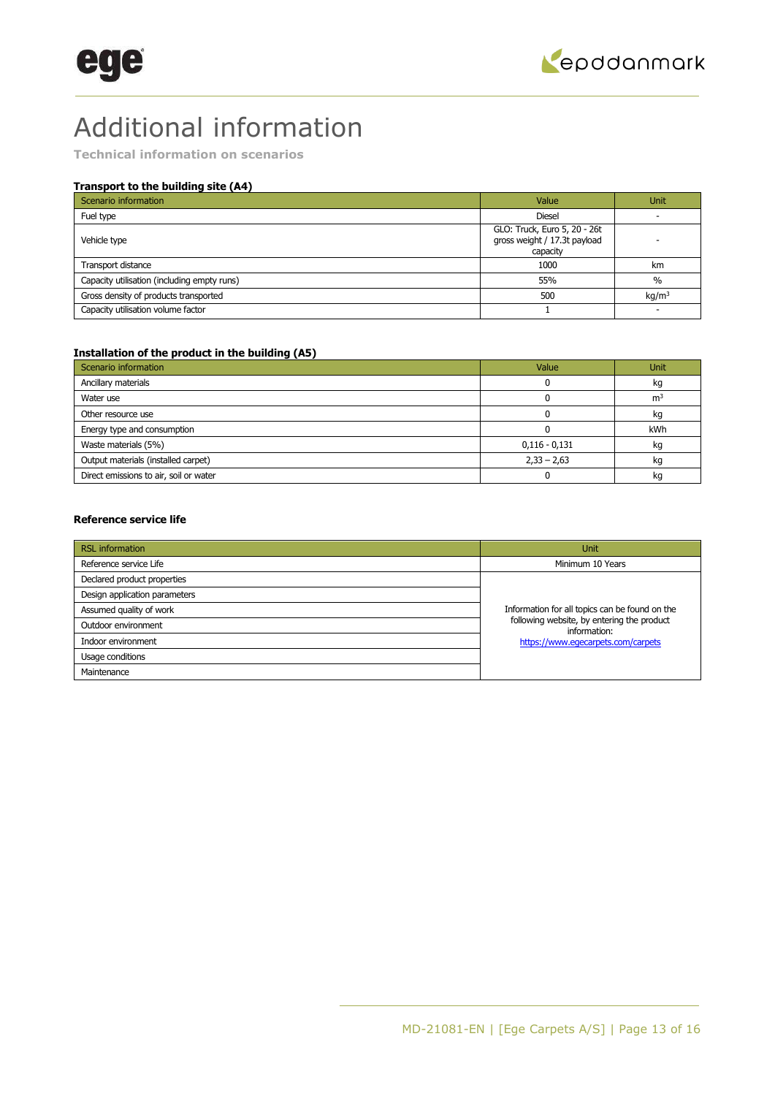## Additional information

**Technical information on scenarios** 

### **Transport to the building site (A4)**

| Scenario information                        | Value                                                                    | <b>Unit</b>       |
|---------------------------------------------|--------------------------------------------------------------------------|-------------------|
| Fuel type                                   | <b>Diesel</b>                                                            |                   |
| Vehicle type                                | GLO: Truck, Euro 5, 20 - 26t<br>gross weight / 17.3t payload<br>capacity |                   |
| Transport distance                          | 1000                                                                     | km                |
| Capacity utilisation (including empty runs) | 55%                                                                      | $\frac{0}{0}$     |
| Gross density of products transported       | 500                                                                      | kg/m <sup>3</sup> |
| Capacity utilisation volume factor          |                                                                          |                   |

### **Installation of the product in the building (A5)**

| Scenario information                   | Value           | <b>Unit</b>    |
|----------------------------------------|-----------------|----------------|
| Ancillary materials                    |                 | kg             |
| Water use                              |                 | m <sup>3</sup> |
| Other resource use                     |                 | kg             |
| Energy type and consumption            |                 | kWh            |
| Waste materials (5%)                   | $0,116 - 0,131$ | kg             |
| Output materials (installed carpet)    | $2,33 - 2,63$   | kg             |
| Direct emissions to air, soil or water |                 | kq             |

### **Reference service life**

| <b>RSL</b> information        | <b>Unit</b>                                                |
|-------------------------------|------------------------------------------------------------|
| Reference service Life        | Minimum 10 Years                                           |
| Declared product properties   |                                                            |
| Design application parameters |                                                            |
| Assumed quality of work       | Information for all topics can be found on the             |
| Outdoor environment           | following website, by entering the product<br>information: |
| Indoor environment            | https://www.eqecarpets.com/carpets                         |
| Usage conditions              |                                                            |
| Maintenance                   |                                                            |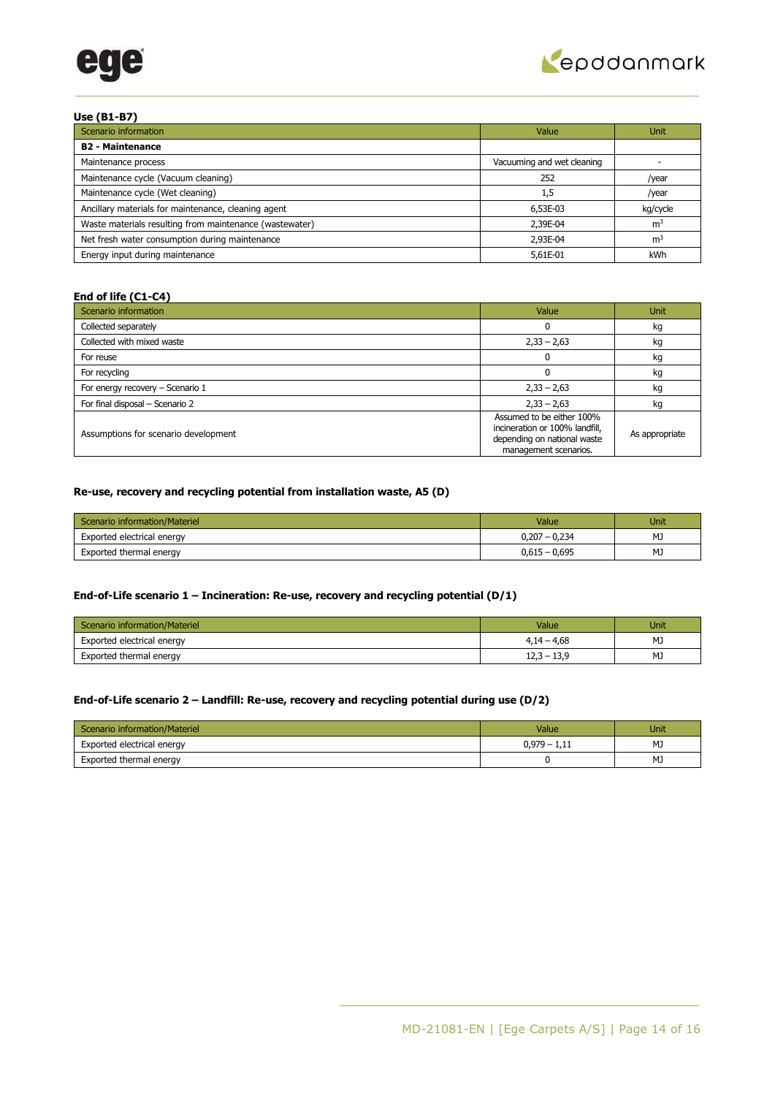



### **Use (B1-B7)**

| Scenario information                                    | Value                      | <b>Unit</b>    |
|---------------------------------------------------------|----------------------------|----------------|
| <b>B2 - Maintenance</b>                                 |                            |                |
| Maintenance process                                     | Vacuuming and wet cleaning |                |
| Maintenance cycle (Vacuum cleaning)                     | 252                        | /year          |
| Maintenance cycle (Wet cleaning)                        | 1,5                        | /year          |
| Ancillary materials for maintenance, cleaning agent     | 6,53E-03                   | kg/cycle       |
| Waste materials resulting from maintenance (wastewater) | 2,39E-04                   | m <sup>3</sup> |
| Net fresh water consumption during maintenance          | 2.93E-04                   | m <sup>3</sup> |
| Energy input during maintenance                         | 5,61E-01                   | kWh            |

### **End of life (C1-C4)**

| Scenario information                 | Value                                                                                                               | <b>Unit</b>    |
|--------------------------------------|---------------------------------------------------------------------------------------------------------------------|----------------|
| Collected separately                 |                                                                                                                     | kg             |
| Collected with mixed waste           | $2,33 - 2,63$                                                                                                       | kg             |
| For reuse                            |                                                                                                                     | kg             |
| For recycling                        |                                                                                                                     | kg             |
| For energy recovery - Scenario 1     | $2,33 - 2,63$                                                                                                       | kg             |
| For final disposal - Scenario 2      | $2,33 - 2,63$                                                                                                       | kg             |
| Assumptions for scenario development | Assumed to be either 100%<br>incineration or 100% landfill,<br>depending on national waste<br>management scenarios. | As appropriate |

### **Re-use, recovery and recycling potential from installation waste, A5 (D)**

| Scenario information/Materiel | Value           | Unit |
|-------------------------------|-----------------|------|
| Exported electrical energy    | $0,207 - 0,234$ | MJ   |
| Exported thermal energy       | $0,615 - 0,695$ | MJ   |

### **End-of-Life scenario 1 – Incineration: Re-use, recovery and recycling potential (D/1)**

| Scenario information/Materiel | Value         | Unit |
|-------------------------------|---------------|------|
| Exported electrical energy    | $4,14 - 4,68$ | MJ   |
| Exported thermal energy       | $12,3 - 13,9$ | MJ   |

### **End-of-Life scenario 2 – Landfill: Re-use, recovery and recycling potential during use (D/2)**

| Scenario information/Materiel | Value          | Unit |
|-------------------------------|----------------|------|
| Exported electrical energy    | $0,979 - 1,11$ | MJ   |
| Exported thermal energy       |                | MJ   |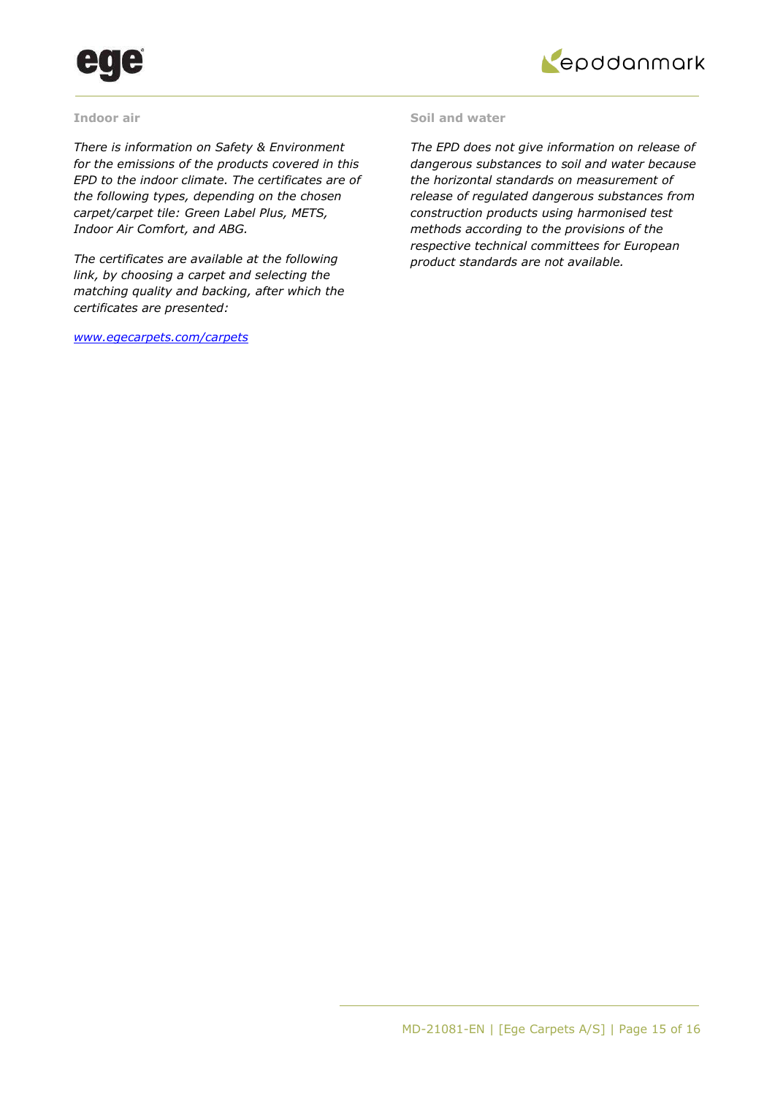



### **Indoor air**

*There is information on Safety & Environment for the emissions of the products covered in this EPD to the indoor climate. The certificates are of the following types, depending on the chosen carpet/carpet tile: Green Label Plus, METS, Indoor Air Comfort, and ABG.* 

*The certificates are available at the following link, by choosing a carpet and selecting the matching quality and backing, after which the certificates are presented:* 

*[www.egecarpets.com/carpets](http://www.egecarpets.com/carpets)* 

### **Soil and water**

*The EPD does not give information on release of dangerous substances to soil and water because the horizontal standards on measurement of release of regulated dangerous substances from construction products using harmonised test methods according to the provisions of the respective technical committees for European product standards are not available.*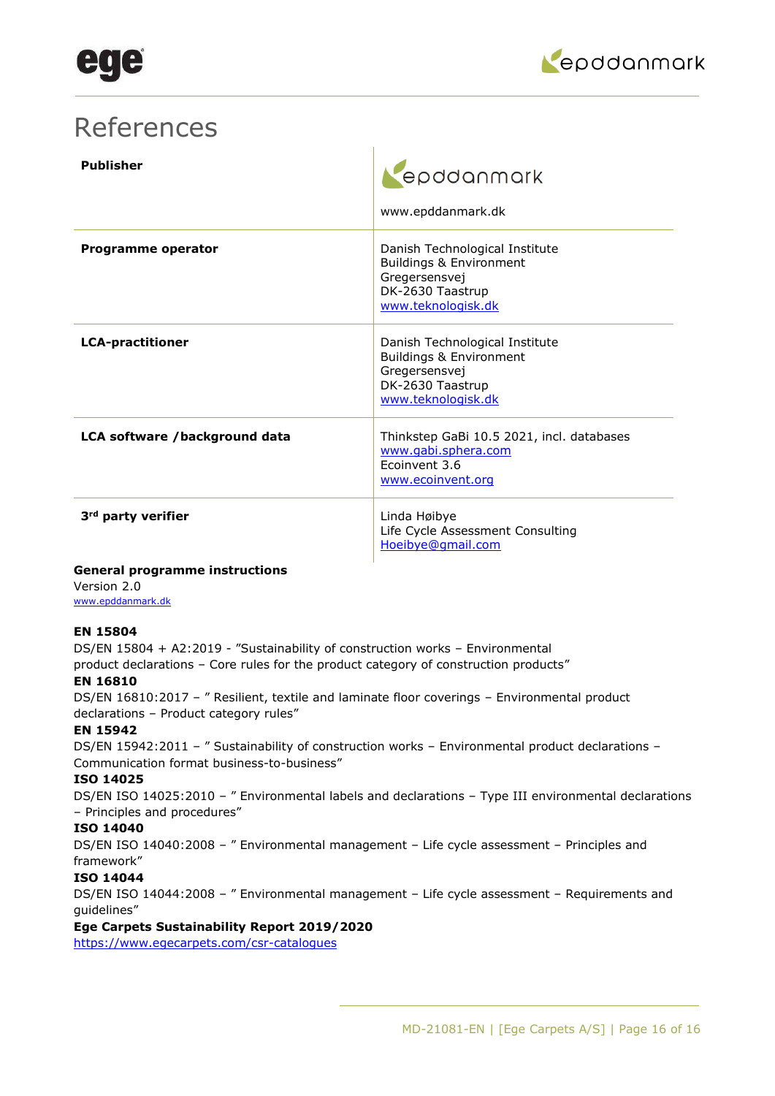

## References

| <b>Publisher</b>               | epddanmark<br>www.epddanmark.dk                                                                                      |
|--------------------------------|----------------------------------------------------------------------------------------------------------------------|
| <b>Programme operator</b>      | Danish Technological Institute<br>Buildings & Environment<br>Gregersensvej<br>DK-2630 Taastrup<br>www.teknologisk.dk |
| <b>LCA-practitioner</b>        | Danish Technological Institute<br>Buildings & Environment<br>Gregersensvej<br>DK-2630 Taastrup<br>www.teknologisk.dk |
| LCA software /background data  | Thinkstep GaBi 10.5 2021, incl. databases<br>www.gabi.sphera.com<br>Ecoinvent 3.6<br>www.ecoinvent.org               |
| 3 <sup>rd</sup> party verifier | Linda Høibye<br>Life Cycle Assessment Consulting<br>Hoeibye@gmail.com                                                |

### **General programme instructions**

Version 2.0 [www.epddanmark.dk](http://www.epddanmark.dk/)

### **EN 15804**

DS/EN 15804 + A2:2019 - "Sustainability of construction works – Environmental

product declarations – Core rules for the product category of construction products"

### **EN 16810**

DS/EN 16810:2017 – " Resilient, textile and laminate floor coverings – Environmental product declarations – Product category rules"

### **EN 15942**

DS/EN 15942:2011 - " Sustainability of construction works - Environmental product declarations -Communication format business-to-business"

### **ISO 14025**

DS/EN ISO 14025:2010 – " Environmental labels and declarations – Type III environmental declarations – Principles and procedures"

### **ISO 14040**

DS/EN ISO 14040:2008 – " Environmental management – Life cycle assessment – Principles and framework"

### **ISO 14044**

DS/EN ISO 14044:2008 – " Environmental management – Life cycle assessment – Requirements and guidelines"

### **Ege Carpets Sustainability Report 2019/2020**

<https://www.egecarpets.com/csr-catalogues>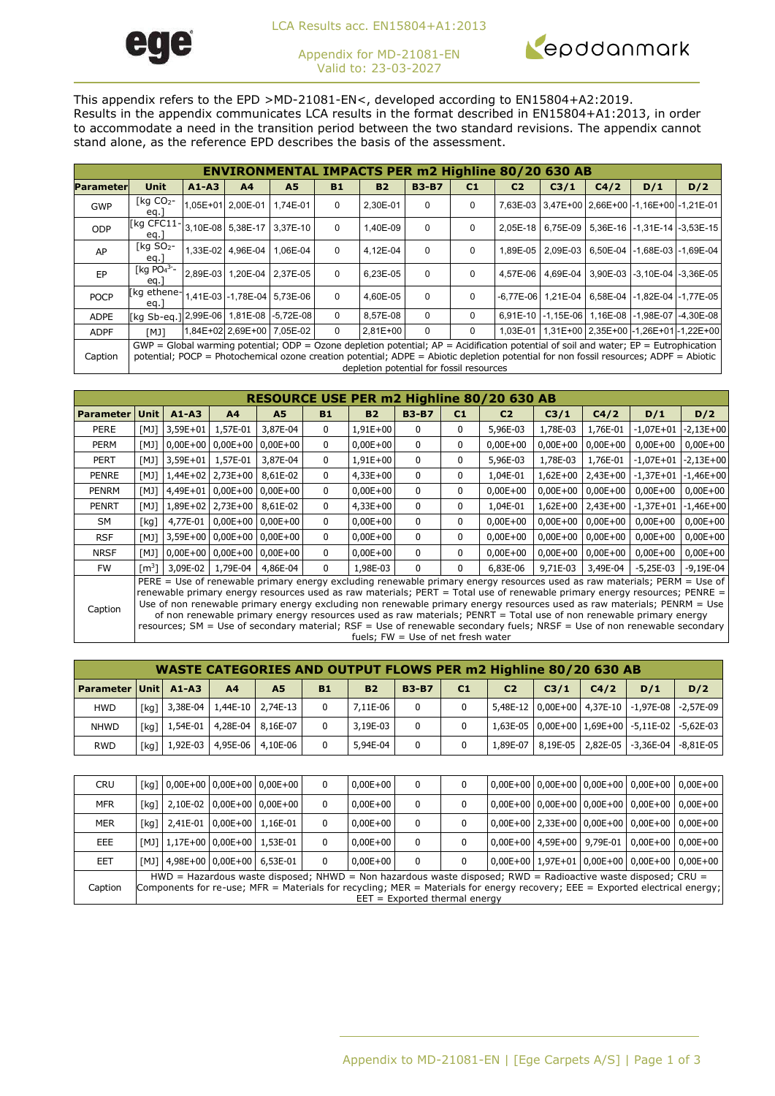

LCA Results acc. EN15804+A1:2013

Appendix for MD-21081-EN Valid to: 23-03-2027



This appendix refers to the EPD >MD-21081-EN<, developed according to EN15804+A2:2019. Results in the appendix communicates LCA results in the format described in EN15804+A1:2013, in order to accommodate a need in the transition period between the two standard revisions. The appendix cannot stand alone, as the reference EPD describes the basis of the assessment.

|                  | <b>ENVIRONMENTAL IMPACTS PER m2 Highline 80/20 630 AB</b>                                                                                                                                                                                                                           |           |                            |                            |             |                                          |              |                |                |      |      |                                                        |                                                        |  |
|------------------|-------------------------------------------------------------------------------------------------------------------------------------------------------------------------------------------------------------------------------------------------------------------------------------|-----------|----------------------------|----------------------------|-------------|------------------------------------------|--------------|----------------|----------------|------|------|--------------------------------------------------------|--------------------------------------------------------|--|
| <b>Parameter</b> | <b>Unit</b>                                                                                                                                                                                                                                                                         | $A1 - A3$ | A <sub>4</sub>             | A <sub>5</sub>             | <b>B1</b>   | <b>B2</b>                                | <b>B3-B7</b> | C <sub>1</sub> | C <sub>2</sub> | C3/1 | C4/2 | D/1                                                    | D/2                                                    |  |
| GWP              | [kg $CO2$ -<br>eq.                                                                                                                                                                                                                                                                  |           | 1.05E+01 2.00E-01          | 1.74E-01                   | $\mathbf 0$ | 2.30E-01                                 | $\Omega$     | 0              |                |      |      |                                                        | 7,63E-03 3,47E+00 2,66E+00 -1,16E+00 -1,21E-01         |  |
| ODP              | [kg CFC11-<br>eq.                                                                                                                                                                                                                                                                   |           |                            | 3,10E-08 5,38E-17 3,37E-10 | $\Omega$    | 1,40E-09                                 | $\Omega$     | 0              |                |      |      |                                                        | 2,05E-18   6,75E-09   5,36E-16   -1,31E-14   -3,53E-15 |  |
| AP               | $\lceil$ kg SO <sub>2</sub> -<br>eq.                                                                                                                                                                                                                                                |           | 1,33E-02 4,96E-04          | 1.06E-04                   | 0           | 4,12E-04                                 | $\Omega$     | $\Omega$       |                |      |      |                                                        | 1,89E-05   2,09E-03   6,50E-04   -1,68E-03   -1,69E-04 |  |
| EP               | [kg $PO43-$<br>eq.                                                                                                                                                                                                                                                                  |           | 2.89E-03 1.20E-04 2.37E-05 |                            | 0           | 6.23E-05                                 | $\Omega$     | $\Omega$       |                |      |      |                                                        | 4.57E-06   4.69E-04   3.90E-03   -3.10E-04   -3.36E-05 |  |
| <b>POCP</b>      | [kg ethene-1,41E-03 -1,78E-04   5,73E-06 '<br>eq.                                                                                                                                                                                                                                   |           |                            |                            | $\Omega$    | 4.60E-05                                 | $\Omega$     | $\Omega$       |                |      |      | -6.77E-06 1.21E-04 6.58E-04 -1.82E-04 -1.77E-05        |                                                        |  |
| <b>ADPE</b>      | [kg Sb-eg.] 2,99E-06  1,81E-08  -5,72E-08                                                                                                                                                                                                                                           |           |                            |                            | 0           | 8.57E-08                                 | $\Omega$     | 0              |                |      |      |                                                        | 6,91E-10 -1,15E-06 1,16E-08 -1,98E-07 -4,30E-08        |  |
| <b>ADPF</b>      | <b>TKM</b>                                                                                                                                                                                                                                                                          |           | 1,84E+02 2,69E+00 7,05E-02 |                            | $\Omega$    | $2.81E + 00$                             | $\Omega$     | $\Omega$       |                |      |      | 1,03E-01   1,31E+00   2,35E+00   -1,26E+01   -1,22E+00 |                                                        |  |
| Caption          | $GWP = Global$ warming potential; ODP = Ozone depletion potential; $AP =$ Acidification potential of soil and water; $EP =$ Eutrophication<br>potential; POCP = Photochemical ozone creation potential; ADPE = Abiotic depletion potential for non fossil resources; ADPF = Abiotic |           |                            |                            |             | depletion potential for fossil resources |              |                |                |      |      |                                                        |                                                        |  |

|                  | RESOURCE USE PER m2 Highline 80/20 630 AB                                                                                                                                                                                                                                                                                                                                                                                                                                                                                                                                                                                                                                  |            |                            |                                      |              |            |              |                |                |              |              |              |             |
|------------------|----------------------------------------------------------------------------------------------------------------------------------------------------------------------------------------------------------------------------------------------------------------------------------------------------------------------------------------------------------------------------------------------------------------------------------------------------------------------------------------------------------------------------------------------------------------------------------------------------------------------------------------------------------------------------|------------|----------------------------|--------------------------------------|--------------|------------|--------------|----------------|----------------|--------------|--------------|--------------|-------------|
| <b>Parameter</b> | Unit                                                                                                                                                                                                                                                                                                                                                                                                                                                                                                                                                                                                                                                                       | $A1 - A3$  | A <sub>4</sub>             | <b>A5</b>                            | <b>B1</b>    | <b>B2</b>  | <b>B3-B7</b> | C <sub>1</sub> | C <sub>2</sub> | C3/1         | C4/2         | D/1          | D/2         |
| PERE             | [MJ]                                                                                                                                                                                                                                                                                                                                                                                                                                                                                                                                                                                                                                                                       | $3,59E+01$ | 1,57E-01                   | 3,87E-04                             | 0            | $1,91E+00$ | $\mathbf{0}$ | 0              | 5,96E-03       | 1,78E-03     | 1,76E-01     | $-1,07E+01$  | $-2,13E+00$ |
| <b>PERM</b>      | [MJ]                                                                                                                                                                                                                                                                                                                                                                                                                                                                                                                                                                                                                                                                       |            |                            | $0,00E+00$ 0,00E+00 0,00E+00         | $\mathbf{0}$ | $0,00E+00$ | $\mathbf{0}$ | 0              | $0,00E+00$     | $0,00E+00$   | $0,00E+00$   | $0,00E+00$   | $0,00E+00$  |
| <b>PERT</b>      | [MJ]                                                                                                                                                                                                                                                                                                                                                                                                                                                                                                                                                                                                                                                                       | $3,59E+01$ | 1,57E-01                   | 3,87E-04                             | 0            | $1,91E+00$ | 0            | 0              | 5,96E-03       | 1,78E-03     | 1,76E-01     | $-1,07E+01$  | $-2,13E+00$ |
| <b>PENRE</b>     | [MJ]                                                                                                                                                                                                                                                                                                                                                                                                                                                                                                                                                                                                                                                                       |            | $1,44E+02$   2,73E+00      | 8,61E-02                             | 0            | $4,33E+00$ | 0            | 0              | 1,04E-01       | $1,62E+00$   | 2,43E+00     | $-1,37E+01$  | $-1,46E+00$ |
| <b>PENRM</b>     | [MJ]                                                                                                                                                                                                                                                                                                                                                                                                                                                                                                                                                                                                                                                                       |            |                            | 4,49E+01   0,00E+00   0,00E+00       | 0            | $0,00E+00$ | 0            | 0              | $0.00E + 00$   | $0.00E + 00$ | $0.00E + 00$ | $0.00E + 00$ | $0,00E+00$  |
| <b>PENRT</b>     | [MJ]                                                                                                                                                                                                                                                                                                                                                                                                                                                                                                                                                                                                                                                                       |            | 1,89E+02 2,73E+00 8,61E-02 |                                      | $\mathbf{0}$ | $4,33E+00$ | $\mathbf{0}$ | 0              | 1,04E-01       | $1,62E+00$   | 2,43E+00     | $-1,37E+01$  | $-1,46E+00$ |
| <b>SM</b>        | [kg]                                                                                                                                                                                                                                                                                                                                                                                                                                                                                                                                                                                                                                                                       |            |                            | 4,77E-01 0,00E+00 0,00E+00           | $\mathbf{0}$ | $0,00E+00$ | $\mathbf{0}$ | 0              | $0.00E + 00$   | $0,00E+00$   | $0,00E+00$   | $0,00E+00$   | $0,00E+00$  |
| <b>RSF</b>       | [MJ]                                                                                                                                                                                                                                                                                                                                                                                                                                                                                                                                                                                                                                                                       |            |                            | 3,59E+00   0,00E+00   0,00E+00       | $\mathbf{0}$ | $0,00E+00$ | $\mathbf{0}$ | 0              | $0.00E + 00$   | $0.00E + 00$ | $0.00E + 00$ | $0,00E+00$   | $0,00E+00$  |
| <b>NRSF</b>      | [MJ]                                                                                                                                                                                                                                                                                                                                                                                                                                                                                                                                                                                                                                                                       |            |                            | $0,00E+00$   $0,00E+00$   $0,00E+00$ | $\mathbf{0}$ | $0,00E+00$ | $\mathbf{0}$ | 0              | $0.00E + 00$   | $0.00E + 00$ | $0.00E + 00$ | $0.00E + 00$ | $0,00E+00$  |
| <b>FW</b>        | $\lceil m^3 \rceil$                                                                                                                                                                                                                                                                                                                                                                                                                                                                                                                                                                                                                                                        | 3,09E-02   | 1,79E-04                   | 4,86E-04                             | $\mathbf{0}$ | 1,98E-03   | 0            | $\mathbf{0}$   | 6,83E-06       | 9,71E-03     | 3,49E-04     | $-5,25E-03$  | $-9,19E-04$ |
| Caption          | PERE = Use of renewable primary energy excluding renewable primary energy resources used as raw materials; PERM = Use of<br>renewable primary energy resources used as raw materials; PERT = Total use of renewable primary energy resources; PENRE =<br>Use of non renewable primary energy excluding non renewable primary energy resources used as raw materials; PENRM = Use<br>of non renewable primary energy resources used as raw materials; PENRT = Total use of non renewable primary energy<br>resources; SM = Use of secondary material; RSF = Use of renewable secondary fuels; NRSF = Use of non renewable secondary<br>fuels; $FW = Use of net fresh water$ |            |                            |                                      |              |            |              |                |                |              |              |              |             |

|                      |      |                | <b>WASTE CATEGORIES AND OUTPUT FLOWS PER m2 Highline 80/20 630 AB</b> |           |           |              |    |                |                  |      |     |                                                        |
|----------------------|------|----------------|-----------------------------------------------------------------------|-----------|-----------|--------------|----|----------------|------------------|------|-----|--------------------------------------------------------|
| Parameter Unit A1-A3 |      | A <sub>4</sub> | <b>A5</b>                                                             | <b>B1</b> | <b>B2</b> | <b>B3-B7</b> | C1 | C <sub>2</sub> | C <sub>3/1</sub> | C4/2 | D/1 | D/2                                                    |
| <b>HWD</b>           |      |                | [kg] 3,38E-04   1,44E-10   2,74E-13                                   |           | 7.11E-06  | $\mathbf{0}$ |    |                |                  |      |     | 5,48E-12   0,00E+00   4,37E-10   -1,97E-08   -2,57E-09 |
| <b>NHWD</b>          | [ka] |                | $1,54E-01$ 4,28E-04 8,16E-07                                          |           | 3,19E-03  | $\Omega$     |    |                |                  |      |     | 1,63E-05   0,00E+00   1,69E+00   -5,11E-02   -5,62E-03 |
| <b>RWD</b>           |      |                | [kg]   1,92E-03   4,95E-06   4,10E-06                                 |           | 5,94E-04  | $\Omega$     |    |                |                  |      |     | 1,89E-07   8,19E-05   2,82E-05   -3,36E-04   -8,81E-05 |

| <b>CRU</b> |                                                                                                                              |  |                                       | [kg] 0,00E+00 0,00E+00 0,00E+00 |  | $0.00E + 00$ | $\Omega$     |  |  |  |  |  | 0,00E+00   0,00E+00   0,00E+00   0,00E+00   0,00E+00 |
|------------|------------------------------------------------------------------------------------------------------------------------------|--|---------------------------------------|---------------------------------|--|--------------|--------------|--|--|--|--|--|------------------------------------------------------|
| <b>MFR</b> | [ka]                                                                                                                         |  |                                       | 2,10E-02 0,00E+00 0,00E+00      |  | $0.00E + 00$ | 0            |  |  |  |  |  | 0,00E+00 0,00E+00 0,00E+00 0,00E+00 0,00E+00         |
| <b>MER</b> | [ka]                                                                                                                         |  | 2,41E-01 0,00E+00 1,16E-01            |                                 |  | $0.00E + 00$ | 0            |  |  |  |  |  | 0,00E+00 2,33E+00 0,00E+00 0,00E+00 0,00E+00         |
| EEE.       |                                                                                                                              |  | [MJ]   1,17E+00   0,00E+00   1,53E-01 |                                 |  | $0.00E + 00$ | $\Omega$     |  |  |  |  |  | 0.00E+00   4.59E+00   9.79E-01   0.00E+00   0.00E+00 |
| <b>EET</b> |                                                                                                                              |  | [MJ] 4,98E+00 0,00E+00 6,53E-01       |                                 |  | $0.00E + 00$ | $\mathbf{0}$ |  |  |  |  |  | 0,00E+00 1,97E+01 0,00E+00 0,00E+00 0,00E+00         |
|            | $HWD =$ Hazardous waste disposed; NHWD = Non hazardous waste disposed; RWD = Radioactive waste disposed; CRU =               |  |                                       |                                 |  |              |              |  |  |  |  |  |                                                      |
| Caption    | Components for re-use; MFR = Materials for recycling; MER = Materials for energy recovery; EEE = Exported electrical energy; |  |                                       |                                 |  |              |              |  |  |  |  |  |                                                      |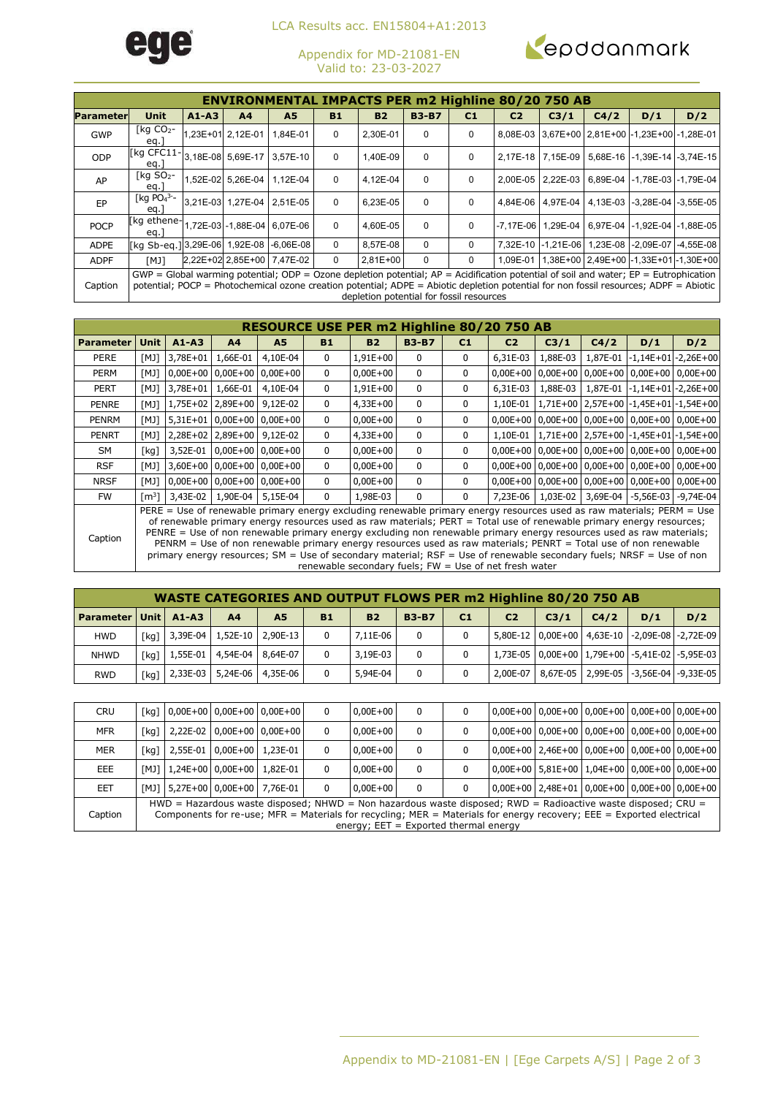

LCA Results acc. EN15804+A1:2013

Appendix for MD-21081-EN Valid to: 23-03-2027



|                  |                                                                                                                                                                                                                                                                                     |       |                            | <b>ENVIRONMENTAL IMPACTS PER m2 Highline 80/20 750 AB</b> |             |                                          |              |                |                |                     |      |     |                                                         |
|------------------|-------------------------------------------------------------------------------------------------------------------------------------------------------------------------------------------------------------------------------------------------------------------------------------|-------|----------------------------|-----------------------------------------------------------|-------------|------------------------------------------|--------------|----------------|----------------|---------------------|------|-----|---------------------------------------------------------|
|                  |                                                                                                                                                                                                                                                                                     |       |                            |                                                           |             |                                          |              |                |                |                     |      |     |                                                         |
| <b>Parameter</b> | Unit                                                                                                                                                                                                                                                                                | A1-A3 | A <sub>4</sub>             | A5                                                        | <b>B1</b>   | <b>B2</b>                                | <b>B3-B7</b> | C <sub>1</sub> | C <sub>2</sub> | C3/1                | C4/2 | D/1 | D/2                                                     |
| <b>GWP</b>       | $\lceil$ kg CO <sub>2</sub> -<br>eq.                                                                                                                                                                                                                                                |       | 1,23E+01 2,12E-01          | 1,84E-01                                                  | 0           | 2,30E-01                                 | $\Omega$     | 0              |                |                     |      |     | 8,08E-03 3,67E+00 2,81E+00 -1,23E+00 -1,28E-01          |
| <b>ODP</b>       | [kg CFC11-<br>eq.                                                                                                                                                                                                                                                                   |       | 3,18E-08 5,69E-17          | 3.57E-10                                                  | 0           | 1,40E-09                                 | $\Omega$     | 0              |                |                     |      |     | 2,17E-18 7,15E-09 5,68E-16 -1,39E-14 -3,74E-15          |
| AP               | $\lceil$ kg SO <sub>2</sub> -<br>eq.                                                                                                                                                                                                                                                |       | 1,52E-02 5,26E-04          | 1.12E-04                                                  | 0           | 4.12E-04                                 | $\Omega$     | 0              |                |                     |      |     | 2.00E-05 2.22E-03 6.89E-04 -1.78E-03 -1.79E-04          |
| EP               | [kg $PO4^{3-}$<br>eq.                                                                                                                                                                                                                                                               |       | 3.21E-03 1.27E-04 2.51E-05 |                                                           | $\mathbf 0$ | 6,23E-05                                 | $\Omega$     | 0              |                | 4.84E-06   4.97E-04 |      |     | 4,13E-03 -3,28E-04 -3,55E-05                            |
| <b>POCP</b>      | [kg ethene-1,72E-03 -1,88E-04 6,07E-06<br>eq.                                                                                                                                                                                                                                       |       |                            |                                                           | $\Omega$    | 4,60E-05                                 | $\Omega$     | 0              |                |                     |      |     | -7,17E-06   1,29E-04   6,97E-04   -1,92E-04   -1,88E-05 |
| <b>ADPE</b>      | [kg Sb-eg.] 3,29E-06  1,92E-08  -6,06E-08                                                                                                                                                                                                                                           |       |                            |                                                           | $\Omega$    | 8.57E-08                                 | $\Omega$     | 0              |                |                     |      |     | 7,32E-10 -1,21E-06 1,23E-08 -2,09E-07 -4,55E-08         |
| <b>ADPF</b>      | [MJ]                                                                                                                                                                                                                                                                                |       |                            | 2,22E+02 2,85E+00 7,47E-02                                | 0           | $2.81E + 00$                             | $\Omega$     | 0              |                |                     |      |     | 1,09E-01   1,38E+00   2,49E+00   -1,33E+01   -1,30E+00  |
| Caption          | $GWP = Global$ warming potential; ODP = Ozone depletion potential; $AP =$ Acidification potential of soil and water; $EP =$ Eutrophication<br>potential; POCP = Photochemical ozone creation potential; ADPE = Abiotic depletion potential for non fossil resources; ADPF = Abiotic |       |                            |                                                           |             | depletion potential for fossil resources |              |                |                |                     |      |     |                                                         |

|                  | RESOURCE USE PER m2 Highline 80/20 750 AB                                                                                                                                                                                                                                                                                                                                                                                                                                                            |           |                            |                                      |              |              |              |                |                |                     |      |     |                                                                |  |
|------------------|------------------------------------------------------------------------------------------------------------------------------------------------------------------------------------------------------------------------------------------------------------------------------------------------------------------------------------------------------------------------------------------------------------------------------------------------------------------------------------------------------|-----------|----------------------------|--------------------------------------|--------------|--------------|--------------|----------------|----------------|---------------------|------|-----|----------------------------------------------------------------|--|
| <b>Parameter</b> | Unit                                                                                                                                                                                                                                                                                                                                                                                                                                                                                                 | $A1 - A3$ | A <sup>4</sup>             | <b>A5</b>                            | <b>B1</b>    | <b>B2</b>    | <b>B3-B7</b> | C <sub>1</sub> | C <sub>2</sub> | C3/1                | C4/2 | D/1 | D/2                                                            |  |
| <b>PERE</b>      | [MJ]                                                                                                                                                                                                                                                                                                                                                                                                                                                                                                 | 3,78E+01  | 1,66E-01                   | 4,10E-04                             | $\mathbf{0}$ | $1,91E+00$   | 0            | 0              | 6.31E-03       | 1,88E-03            |      |     | 1,87E-01 -1,14E+01 -2,26E+00                                   |  |
| <b>PERM</b>      | [MJ]                                                                                                                                                                                                                                                                                                                                                                                                                                                                                                 |           |                            | $0,00E+00$ 0,00E+00 0,00E+00         | $\mathbf{0}$ | $0,00E+00$   | 0            | 0              |                |                     |      |     | $0.00E+00$   $0.00E+00$   $0.00E+00$   $0.00E+00$   $0.00E+00$ |  |
| PERT             | [MJ]                                                                                                                                                                                                                                                                                                                                                                                                                                                                                                 |           | 3.78E+01 1.66E-01          | 4,10E-04                             | 0            | $1,91E+00$   | 0            | 0              | $6.31E-03$     |                     |      |     | 1,88E-03   1,87E-01   -1,14E+01   -2,26E+00                    |  |
| <b>PENRE</b>     | [MJ]                                                                                                                                                                                                                                                                                                                                                                                                                                                                                                 |           | 1,75E+02 2,89E+00 9,12E-02 |                                      | $\mathbf{0}$ | $4,33E+00$   | 0            | 0              | 1,10E-01       |                     |      |     | $1,71E+00$ $2,57E+00$ $-1,45E+01$ $-1,54E+00$                  |  |
| <b>PENRM</b>     | [MJ]                                                                                                                                                                                                                                                                                                                                                                                                                                                                                                 |           |                            | 5,31E+01 0,00E+00 0,00E+00           | 0            | $0,00E+00$   | 0            | 0              |                |                     |      |     | $0,00E+00$   $0,00E+00$   $0,00E+00$   $0,00E+00$   $0,00E+00$ |  |
| <b>PENRT</b>     | [MJ]                                                                                                                                                                                                                                                                                                                                                                                                                                                                                                 |           | 2.28E+02 2.89E+00 9.12E-02 |                                      | 0            | $4.33E + 00$ | 0            | 0              |                |                     |      |     | 1.10E-01 1.71E+00 2.57E+00 -1.45E+01 -1.54E+00                 |  |
| SM               | [kg]                                                                                                                                                                                                                                                                                                                                                                                                                                                                                                 | 3,52E-01  |                            | $0.00E + 00$   $0.00E + 00$          | 0            | $0,00E+00$   | 0            | 0              |                |                     |      |     | $0,00E+00$   $0,00E+00$   $0,00E+00$   $0,00E+00$   $0,00E+00$ |  |
| <b>RSF</b>       | [MJ]                                                                                                                                                                                                                                                                                                                                                                                                                                                                                                 |           |                            | 3,60E+00 0,00E+00 0,00E+00           | 0            | $0,00E+00$   | 0            | 0              |                |                     |      |     | $0,00E+00$   $0,00E+00$   $0,00E+00$   $0,00E+00$   $0,00E+00$ |  |
| <b>NRSF</b>      | [MJ]                                                                                                                                                                                                                                                                                                                                                                                                                                                                                                 |           |                            | $0.00E+00$   $0.00E+00$   $0.00E+00$ | 0            | $0.00E + 00$ | 0            | 0              |                |                     |      |     | $0.00E+00$   $0.00E+00$   $0.00E+00$   $0.00E+00$   $0.00E+00$ |  |
| FW.              | [m $^{3}$ ]                                                                                                                                                                                                                                                                                                                                                                                                                                                                                          | 3,43E-02  | 1,90E-04                   | 5,15E-04                             | 0            | 1,98E-03     | 0            | 0              |                | 7,23E-06   1,03E-02 |      |     | 3,69E-04 -5,56E-03 -9,74E-04                                   |  |
| Caption          | PERE = Use of renewable primary energy excluding renewable primary energy resources used as raw materials; PERM = Use<br>of renewable primary energy resources used as raw materials; PERT = Total use of renewable primary energy resources;<br>PENRE = Use of non renewable primary energy excluding non renewable primary energy resources used as raw materials;<br>$PENRM = I$ so of non renewable primary energy resources used as raw materials: $PENRT = Total \text{ use of non renewable}$ |           |                            |                                      |              |              |              |                |                |                     |      |     |                                                                |  |

PENRE = Use of non renewable primary energy excluding non renewable primary energy resources used as raw materials; PENRM = Use of non renewable primary energy resources used as raw materials; PENRT = Total use of non renewable primary energy resources; SM = Use of secondary material; RSF = Use of renewable secondary fuels; NRSF = Use of non renewable secondary fuels; FW = Use of net fresh water

|                             |      |                                  | <b>WASTE CATEGORIES AND OUTPUT FLOWS PER m2 Highline 80/20 750 AB</b> |           |           |              |                |                |      |      |                                                        |     |
|-----------------------------|------|----------------------------------|-----------------------------------------------------------------------|-----------|-----------|--------------|----------------|----------------|------|------|--------------------------------------------------------|-----|
| <b>Parameter Unit A1-A3</b> |      | A <sub>4</sub>                   | A5                                                                    | <b>B1</b> | <b>B2</b> | <b>B3-B7</b> | C <sub>1</sub> | C <sub>2</sub> | C3/1 | C4/2 | D/1                                                    | D/2 |
| <b>HWD</b>                  | [kq] | $3,39E-04$   1,52E-10   2,90E-13 |                                                                       |           | 7.11E-06  | 0            |                |                |      |      | 5,80E-12 0,00E+00 4,63E-10 -2,09E-08 -2,72E-09         |     |
| <b>NHWD</b>                 | [kg] |                                  | 1,55E-01 4,54E-04 8,64E-07                                            |           | 3,19E-03  | $\Omega$     |                |                |      |      | 1,73E-05   0,00E+00   1,79E+00   -5,41E-02   -5,95E-03 |     |
| <b>RWD</b>                  | [kq] | $ 2,33E-03 $ 5,24E-06 4,35E-06   |                                                                       |           | 5,94E-04  | $\Omega$     |                |                |      |      | 2,00E-07   8,67E-05   2,99E-05   -3,56E-04   -9,33E-05 |     |

| <b>CRU</b> |      |                                                                                                                                                                                                                                                                                 |                            | $\lceil \text{kg} \rceil \rceil 0,00E + 00 \rceil 0,00E + 00 \rceil 0,00E + 00 \rceil$ |  | $0,00E+00$   | 0 |  |  |  |  | 0,00E+00   0,00E+00   0,00E+00   0,00E+00   0,00E+00                                         |  |
|------------|------|---------------------------------------------------------------------------------------------------------------------------------------------------------------------------------------------------------------------------------------------------------------------------------|----------------------------|----------------------------------------------------------------------------------------|--|--------------|---|--|--|--|--|----------------------------------------------------------------------------------------------|--|
| <b>MFR</b> | [kg] |                                                                                                                                                                                                                                                                                 |                            | $ 2,22E-02 0,00E+00 0,00E+00 $                                                         |  | $0.00E + 00$ | 0 |  |  |  |  | 0,00E+00   0,00E+00   0,00E+00   0,00E+00   0,00E+00                                         |  |
| <b>MER</b> | [kq] |                                                                                                                                                                                                                                                                                 | 2.55E-01 0.00E+00 1.23E-01 |                                                                                        |  | $0.00E + 00$ | 0 |  |  |  |  | $\vert 0.00E + 00 \vert 2.46E + 00 \vert 0.00E + 00 \vert 0.00E + 00 \vert 0.00E + 00 \vert$ |  |
| EEE        | [MJ] | $1.24E+00$   0.00E+00   1.82E-01                                                                                                                                                                                                                                                |                            |                                                                                        |  | $0.00E + 00$ | 0 |  |  |  |  | 0.00E+00 5.81E+00 1.04E+00 0.00E+00 0.00E+00                                                 |  |
| EET        |      | [MJ]   5,27E+00   0,00E+00   7,76E-01                                                                                                                                                                                                                                           |                            |                                                                                        |  | $0.00E + 00$ | 0 |  |  |  |  | $\mid$ 0,00E+00 $\mid$ 2,48E+01 $\mid$ 0,00E+00 $\mid$ 0,00E+00 $\mid$ 0,00E+00 $\mid$       |  |
| Caption    |      | HWD = Hazardous waste disposed; NHWD = Non hazardous waste disposed; RWD = Radioactive waste disposed; CRU =<br>Components for re-use; MFR = Materials for recycling; MER = Materials for energy recovery; EEE = Exported electrical<br>energy; $EET = Exported thermal energy$ |                            |                                                                                        |  |              |   |  |  |  |  |                                                                                              |  |